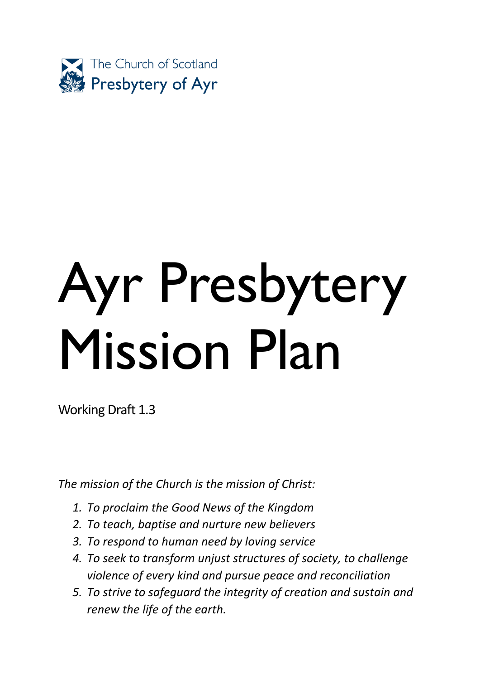

# Ayr Presbytery Mission Plan

Working Draft 1.3

*The mission of the Church is the mission of Christ:*

- *1. To proclaim the Good News of the Kingdom*
- *2. To teach, baptise and nurture new believers*
- *3. To respond to human need by loving service*
- *4. To seek to transform unjust structures of society, to challenge violence of every kind and pursue peace and reconciliation*
- *5. To strive to safeguard the integrity of creation and sustain and renew the life of the earth.*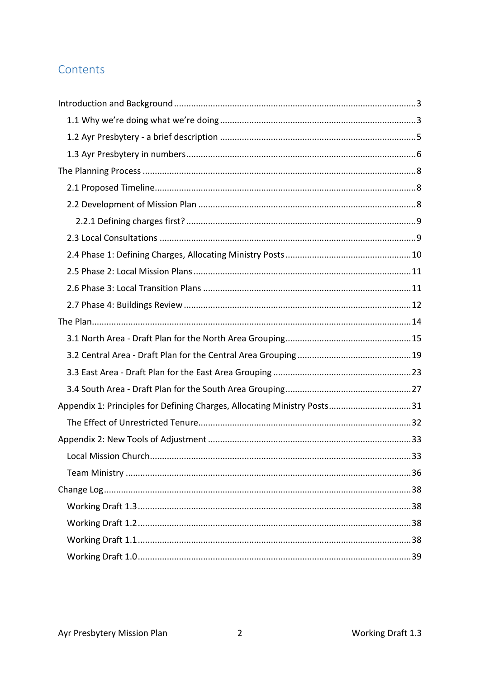# Contents

| Appendix 1: Principles for Defining Charges, Allocating Ministry Posts31 |    |
|--------------------------------------------------------------------------|----|
|                                                                          |    |
|                                                                          |    |
|                                                                          | 33 |
|                                                                          |    |
|                                                                          |    |
|                                                                          |    |
|                                                                          |    |
|                                                                          |    |
|                                                                          |    |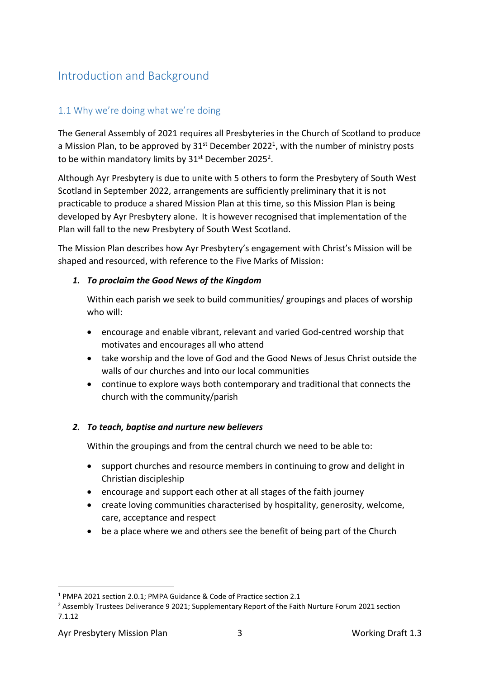# <span id="page-2-0"></span>Introduction and Background

## <span id="page-2-1"></span>1.1 Why we're doing what we're doing

The General Assembly of 2021 requires all Presbyteries in the Church of Scotland to produce a Mission Plan, to be approved by  $31^{st}$  December 2022<sup>1</sup>, with the number of ministry posts to be within mandatory limits by 31<sup>st</sup> December 2025<sup>2</sup>.

Although Ayr Presbytery is due to unite with 5 others to form the Presbytery of South West Scotland in September 2022, arrangements are sufficiently preliminary that it is not practicable to produce a shared Mission Plan at this time, so this Mission Plan is being developed by Ayr Presbytery alone. It is however recognised that implementation of the Plan will fall to the new Presbytery of South West Scotland.

The Mission Plan describes how Ayr Presbytery's engagement with Christ's Mission will be shaped and resourced, with reference to the Five Marks of Mission:

#### *1. To proclaim the Good News of the Kingdom*

Within each parish we seek to build communities/ groupings and places of worship who will:

- encourage and enable vibrant, relevant and varied God-centred worship that motivates and encourages all who attend
- take worship and the love of God and the Good News of Jesus Christ outside the walls of our churches and into our local communities
- continue to explore ways both contemporary and traditional that connects the church with the community/parish

#### *2. To teach, baptise and nurture new believers*

Within the groupings and from the central church we need to be able to:

- support churches and resource members in continuing to grow and delight in Christian discipleship
- encourage and support each other at all stages of the faith journey
- create loving communities characterised by hospitality, generosity, welcome, care, acceptance and respect
- be a place where we and others see the benefit of being part of the Church

<sup>1</sup> PMPA 2021 section 2.0.1; PMPA Guidance & Code of Practice section 2.1

 $2$  Assembly Trustees Deliverance 9 2021; Supplementary Report of the Faith Nurture Forum 2021 section 7.1.12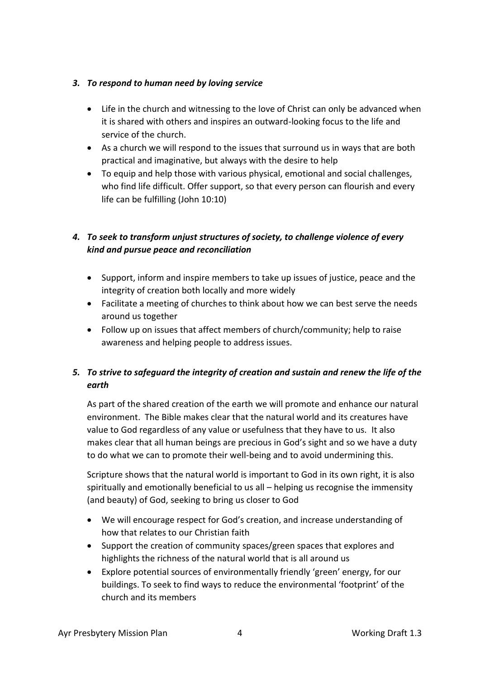### *3. To respond to human need by loving service*

- Life in the church and witnessing to the love of Christ can only be advanced when it is shared with others and inspires an outward-looking focus to the life and service of the church.
- As a church we will respond to the issues that surround us in ways that are both practical and imaginative, but always with the desire to help
- To equip and help those with various physical, emotional and social challenges, who find life difficult. Offer support, so that every person can flourish and every life can be fulfilling (John 10:10)

# *4. To seek to transform unjust structures of society, to challenge violence of every kind and pursue peace and reconciliation*

- Support, inform and inspire members to take up issues of justice, peace and the integrity of creation both locally and more widely
- Facilitate a meeting of churches to think about how we can best serve the needs around us together
- Follow up on issues that affect members of church/community; help to raise awareness and helping people to address issues.

# *5. To strive to safeguard the integrity of creation and sustain and renew the life of the earth*

As part of the shared creation of the earth we will promote and enhance our natural environment. The Bible makes clear that the natural world and its creatures have value to God regardless of any value or usefulness that they have to us. It also makes clear that all human beings are precious in God's sight and so we have a duty to do what we can to promote their well-being and to avoid undermining this.

Scripture shows that the natural world is important to God in its own right, it is also spiritually and emotionally beneficial to us all – helping us recognise the immensity (and beauty) of God, seeking to bring us closer to God

- We will encourage respect for God's creation, and increase understanding of how that relates to our Christian faith
- Support the creation of community spaces/green spaces that explores and highlights the richness of the natural world that is all around us
- Explore potential sources of environmentally friendly 'green' energy, for our buildings. To seek to find ways to reduce the environmental 'footprint' of the church and its members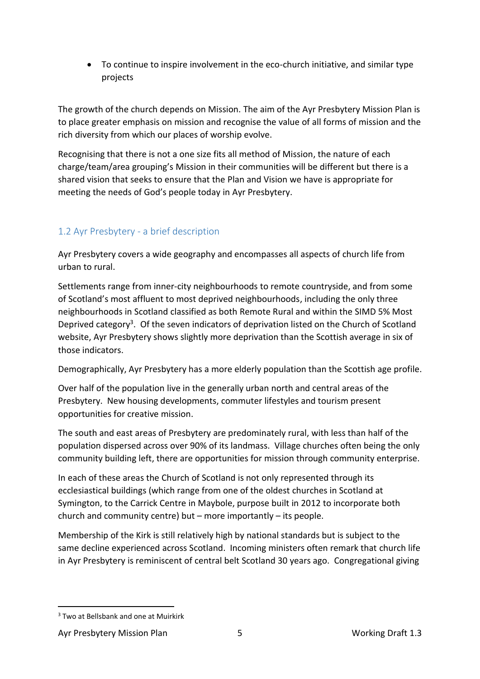• To continue to inspire involvement in the eco-church initiative, and similar type projects

The growth of the church depends on Mission. The aim of the Ayr Presbytery Mission Plan is to place greater emphasis on mission and recognise the value of all forms of mission and the rich diversity from which our places of worship evolve.

Recognising that there is not a one size fits all method of Mission, the nature of each charge/team/area grouping's Mission in their communities will be different but there is a shared vision that seeks to ensure that the Plan and Vision we have is appropriate for meeting the needs of God's people today in Ayr Presbytery.

# <span id="page-4-0"></span>1.2 Ayr Presbytery - a brief description

Ayr Presbytery covers a wide geography and encompasses all aspects of church life from urban to rural.

Settlements range from inner-city neighbourhoods to remote countryside, and from some of Scotland's most affluent to most deprived neighbourhoods, including the only three neighbourhoods in Scotland classified as both Remote Rural and within the SIMD 5% Most Deprived category<sup>3</sup>. Of the seven indicators of deprivation listed on the Church of Scotland website, Ayr Presbytery shows slightly more deprivation than the Scottish average in six of those indicators.

Demographically, Ayr Presbytery has a more elderly population than the Scottish age profile.

Over half of the population live in the generally urban north and central areas of the Presbytery. New housing developments, commuter lifestyles and tourism present opportunities for creative mission.

The south and east areas of Presbytery are predominately rural, with less than half of the population dispersed across over 90% of its landmass. Village churches often being the only community building left, there are opportunities for mission through community enterprise.

In each of these areas the Church of Scotland is not only represented through its ecclesiastical buildings (which range from one of the oldest churches in Scotland at Symington, to the Carrick Centre in Maybole, purpose built in 2012 to incorporate both church and community centre) but – more importantly – its people.

Membership of the Kirk is still relatively high by national standards but is subject to the same decline experienced across Scotland. Incoming ministers often remark that church life in Ayr Presbytery is reminiscent of central belt Scotland 30 years ago. Congregational giving

<sup>&</sup>lt;sup>3</sup> Two at Bellsbank and one at Muirkirk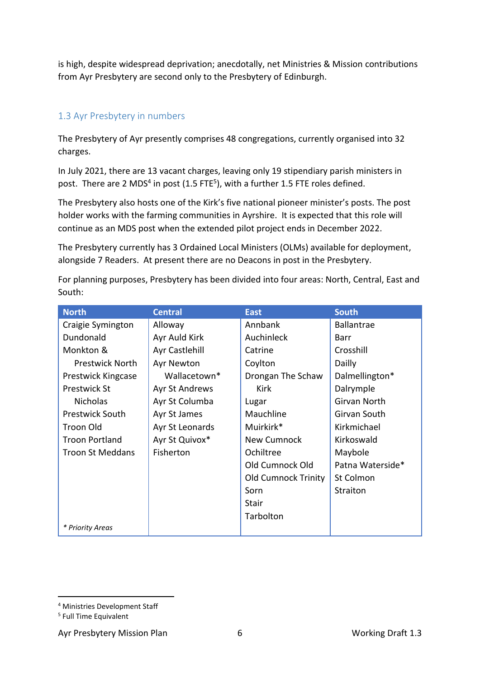is high, despite widespread deprivation; anecdotally, net Ministries & Mission contributions from Ayr Presbytery are second only to the Presbytery of Edinburgh.

# <span id="page-5-0"></span>1.3 Ayr Presbytery in numbers

The Presbytery of Ayr presently comprises 48 congregations, currently organised into 32 charges.

In July 2021, there are 13 vacant charges, leaving only 19 stipendiary parish ministers in post. There are 2 MDS<sup>4</sup> in post (1.5 FTE<sup>5</sup>), with a further 1.5 FTE roles defined.

The Presbytery also hosts one of the Kirk's five national pioneer minister's posts. The post holder works with the farming communities in Ayrshire. It is expected that this role will continue as an MDS post when the extended pilot project ends in December 2022.

The Presbytery currently has 3 Ordained Local Ministers (OLMs) available for deployment, alongside 7 Readers. At present there are no Deacons in post in the Presbytery.

For planning purposes, Presbytery has been divided into four areas: North, Central, East and South:

| <b>North</b>            | <b>Central</b>  | <b>East</b>                | <b>South</b>      |
|-------------------------|-----------------|----------------------------|-------------------|
| Craigie Symington       | Alloway         | Annbank                    | <b>Ballantrae</b> |
| Dundonald               | Ayr Auld Kirk   | Auchinleck                 | Barr              |
| Monkton &               | Ayr Castlehill  | Catrine                    | Crosshill         |
| <b>Prestwick North</b>  | Ayr Newton      | Coylton                    | Dailly            |
| Prestwick Kingcase      | Wallacetown*    | Drongan The Schaw          | Dalmellington*    |
| <b>Prestwick St</b>     | Ayr St Andrews  | Kirk                       | Dalrymple         |
| <b>Nicholas</b>         | Ayr St Columba  | Lugar                      | Girvan North      |
| <b>Prestwick South</b>  | Ayr St James    | Mauchline                  | Girvan South      |
| Troon Old               | Ayr St Leonards | Muirkirk*                  | Kirkmichael       |
| <b>Troon Portland</b>   | Ayr St Quivox*  | New Cumnock                | Kirkoswald        |
| <b>Troon St Meddans</b> | Fisherton       | Ochiltree                  | Maybole           |
|                         |                 | Old Cumnock Old            | Patna Waterside*  |
|                         |                 | <b>Old Cumnock Trinity</b> | St Colmon         |
|                         |                 | Sorn                       | Straiton          |
|                         |                 | Stair                      |                   |
|                         |                 | Tarbolton                  |                   |
| * Priority Areas        |                 |                            |                   |

Ayr Presbytery Mission Plan 6 and 6 Morking Draft 1.3

<sup>4</sup> Ministries Development Staff

<sup>5</sup> Full Time Equivalent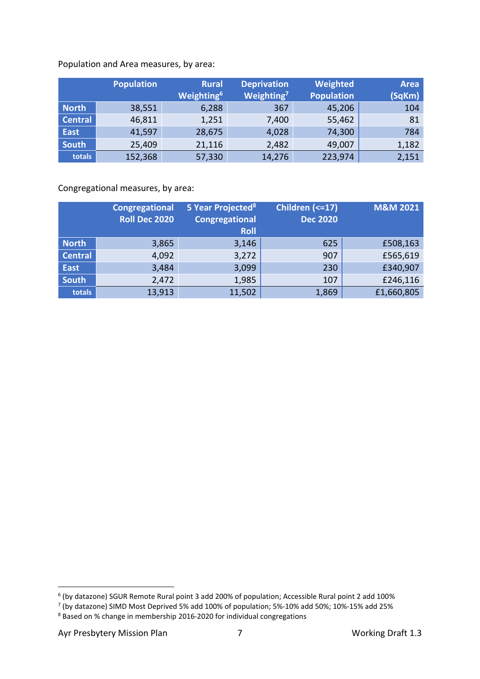#### Population and Area measures, by area:

|                | <b>Population</b> | <b>Rural</b><br>Weighting <sup>6</sup> | <b>Deprivation</b><br>Weighting <sup>7</sup> | Weighted<br><b>Population</b> | <b>Area</b><br>(SqKm) |
|----------------|-------------------|----------------------------------------|----------------------------------------------|-------------------------------|-----------------------|
| <b>North</b>   | 38,551            | 6,288                                  | 367                                          | 45,206                        | 104                   |
| <b>Central</b> | 46,811            | 1,251                                  | 7,400                                        | 55,462                        | 81                    |
| <b>East</b>    | 41,597            | 28,675                                 | 4,028                                        | 74,300                        | 784                   |
| <b>South</b>   | 25,409            | 21,116                                 | 2,482                                        | 49,007                        | 1,182                 |
| totals         | 152,368           | 57,330                                 | 14,276                                       | 223,974                       | 2,151                 |

Congregational measures, by area:

|                | <b>Congregational</b><br><b>Roll Dec 2020</b> | 5 Year Projected <sup>8</sup><br><b>Congregational</b><br><b>Roll</b> | Children (<= 17)<br><b>Dec 2020</b> | <b>M&amp;M 2021</b> |
|----------------|-----------------------------------------------|-----------------------------------------------------------------------|-------------------------------------|---------------------|
| <b>North</b>   | 3,865                                         | 3,146                                                                 | 625                                 | £508,163            |
| <b>Central</b> | 4,092                                         | 3,272                                                                 | 907                                 | £565,619            |
| <b>East</b>    | 3,484                                         | 3,099                                                                 | 230                                 | £340,907            |
| <b>South</b>   | 2,472                                         | 1,985                                                                 | 107                                 | £246,116            |
| totals         | 13,913                                        | 11,502                                                                | 1,869                               | £1,660,805          |

 $^6$  (by datazone) SGUR Remote Rural point 3 add 200% of population; Accessible Rural point 2 add 100%<br><sup>7</sup> (by datazone) SIMD Most Deprived 5% add 100% of population; 5%-10% add 50%; 10%-15% add 25%

<sup>8</sup> Based on % change in membership 2016-2020 for individual congregations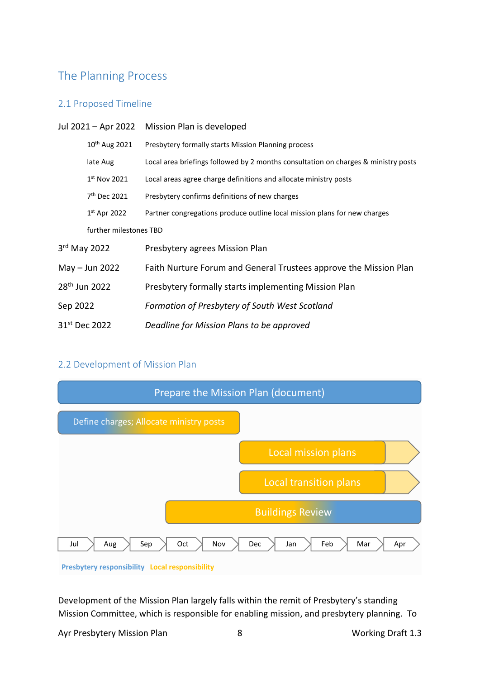# <span id="page-7-0"></span>The Planning Process

#### <span id="page-7-1"></span>2.1 Proposed Timeline

|                           | Jul 2021 - Apr 2022 Mission Plan is developed                                      |  |  |  |  |  |
|---------------------------|------------------------------------------------------------------------------------|--|--|--|--|--|
| 10 <sup>th</sup> Aug 2021 | Presbytery formally starts Mission Planning process                                |  |  |  |  |  |
| late Aug                  | Local area briefings followed by 2 months consultation on charges & ministry posts |  |  |  |  |  |
| $1st$ Nov 2021            | Local areas agree charge definitions and allocate ministry posts                   |  |  |  |  |  |
| 7 <sup>th</sup> Dec 2021  | Presbytery confirms definitions of new charges                                     |  |  |  |  |  |
| $1st$ Apr 2022            | Partner congregations produce outline local mission plans for new charges          |  |  |  |  |  |
| further milestones TBD    |                                                                                    |  |  |  |  |  |
| 3rd May 2022              | Presbytery agrees Mission Plan                                                     |  |  |  |  |  |
| May $-$ Jun 2022          | Faith Nurture Forum and General Trustees approve the Mission Plan                  |  |  |  |  |  |
| 28 <sup>th</sup> Jun 2022 | Presbytery formally starts implementing Mission Plan                               |  |  |  |  |  |
| Sep 2022                  | Formation of Presbytery of South West Scotland                                     |  |  |  |  |  |
| 31 <sup>st</sup> Dec 2022 | Deadline for Mission Plans to be approved                                          |  |  |  |  |  |

## <span id="page-7-2"></span>2.2 Development of Mission Plan



Development of the Mission Plan largely falls within the remit of Presbytery's standing Mission Committee, which is responsible for enabling mission, and presbytery planning. To

Ayr Presbytery Mission Plan 8 8 8 Working Draft 1.3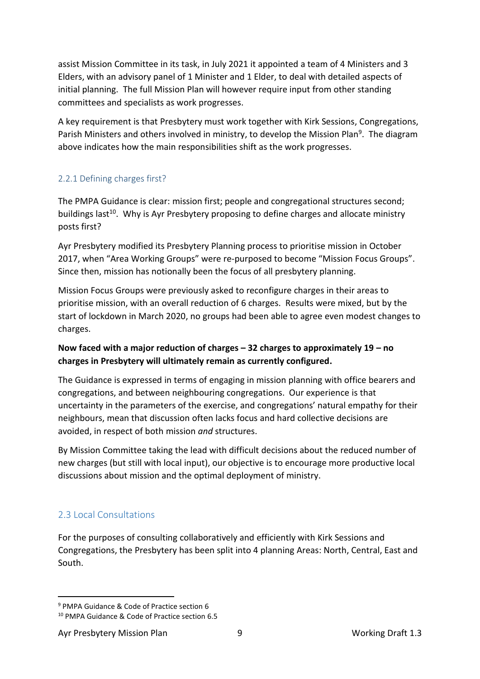assist Mission Committee in its task, in July 2021 it appointed a team of 4 Ministers and 3 Elders, with an advisory panel of 1 Minister and 1 Elder, to deal with detailed aspects of initial planning. The full Mission Plan will however require input from other standing committees and specialists as work progresses.

A key requirement is that Presbytery must work together with Kirk Sessions, Congregations, Parish Ministers and others involved in ministry, to develop the Mission Plan<sup>9</sup>. The diagram above indicates how the main responsibilities shift as the work progresses.

## <span id="page-8-0"></span>2.2.1 Defining charges first?

The PMPA Guidance is clear: mission first; people and congregational structures second; buildings last<sup>10</sup>. Why is Ayr Presbytery proposing to define charges and allocate ministry posts first?

Ayr Presbytery modified its Presbytery Planning process to prioritise mission in October 2017, when "Area Working Groups" were re-purposed to become "Mission Focus Groups". Since then, mission has notionally been the focus of all presbytery planning.

Mission Focus Groups were previously asked to reconfigure charges in their areas to prioritise mission, with an overall reduction of 6 charges. Results were mixed, but by the start of lockdown in March 2020, no groups had been able to agree even modest changes to charges.

# **Now faced with a major reduction of charges – 32 charges to approximately 19 – no charges in Presbytery will ultimately remain as currently configured.**

The Guidance is expressed in terms of engaging in mission planning with office bearers and congregations, and between neighbouring congregations. Our experience is that uncertainty in the parameters of the exercise, and congregations' natural empathy for their neighbours, mean that discussion often lacks focus and hard collective decisions are avoided, in respect of both mission *and* structures.

By Mission Committee taking the lead with difficult decisions about the reduced number of new charges (but still with local input), our objective is to encourage more productive local discussions about mission and the optimal deployment of ministry.

# <span id="page-8-1"></span>2.3 Local Consultations

For the purposes of consulting collaboratively and efficiently with Kirk Sessions and Congregations, the Presbytery has been split into 4 planning Areas: North, Central, East and South.

<sup>9</sup> PMPA Guidance & Code of Practice section 6

<sup>10</sup> PMPA Guidance & Code of Practice section 6.5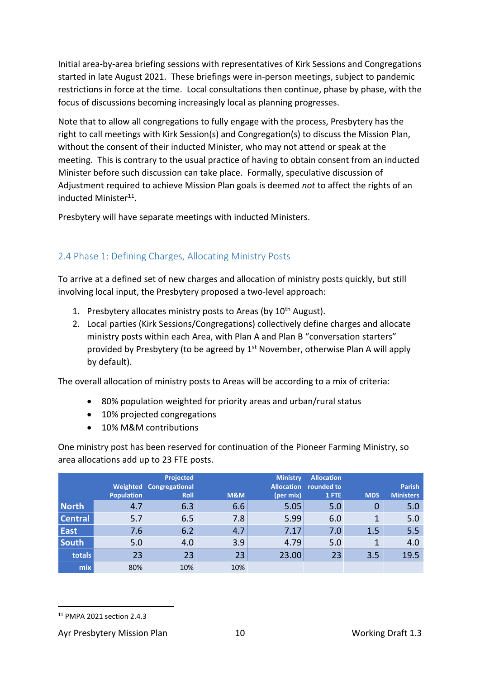Initial area-by-area briefing sessions with representatives of Kirk Sessions and Congregations started in late August 2021. These briefings were in-person meetings, subject to pandemic restrictions in force at the time. Local consultations then continue, phase by phase, with the focus of discussions becoming increasingly local as planning progresses.

Note that to allow all congregations to fully engage with the process, Presbytery has the right to call meetings with Kirk Session(s) and Congregation(s) to discuss the Mission Plan, without the consent of their inducted Minister, who may not attend or speak at the meeting. This is contrary to the usual practice of having to obtain consent from an inducted Minister before such discussion can take place. Formally, speculative discussion of Adjustment required to achieve Mission Plan goals is deemed *not* to affect the rights of an inducted Minister<sup>11</sup>.

Presbytery will have separate meetings with inducted Ministers.

# <span id="page-9-0"></span>2.4 Phase 1: Defining Charges, Allocating Ministry Posts

To arrive at a defined set of new charges and allocation of ministry posts quickly, but still involving local input, the Presbytery proposed a two-level approach:

- 1. Presbytery allocates ministry posts to Areas (by  $10<sup>th</sup>$  August).
- 2. Local parties (Kirk Sessions/Congregations) collectively define charges and allocate ministry posts within each Area, with Plan A and Plan B "conversation starters" provided by Presbytery (to be agreed by  $1<sup>st</sup>$  November, otherwise Plan A will apply by default).

The overall allocation of ministry posts to Areas will be according to a mix of criteria:

- 80% population weighted for priority areas and urban/rural status
- 10% projected congregations
- 10% M&M contributions

One ministry post has been reserved for continuation of the Pioneer Farming Ministry, so area allocations add up to 23 FTE posts.

|                |                   | <b>Projected</b><br><b>Weighted Congregational</b> |                | <b>Ministry</b><br><b>Allocation</b> | <b>Allocation</b><br>rounded to |            | <b>Parish</b>    |
|----------------|-------------------|----------------------------------------------------|----------------|--------------------------------------|---------------------------------|------------|------------------|
|                | <b>Population</b> | <b>Roll</b>                                        | <b>M&amp;M</b> | (per mix)                            | 1 FTE                           | <b>MDS</b> | <b>Ministers</b> |
| <b>North</b>   | 4.7               | 6.3                                                | 6.6            | 5.05                                 | 5.0                             | 0          | 5.0              |
| <b>Central</b> | 5.7               | 6.5                                                | 7.8            | 5.99                                 | 6.0                             |            | 5.0              |
| <b>East</b>    | 7.6               | 6.2                                                | 4.7            | 7.17                                 | 7.0                             | 1.5        | 5.5              |
| <b>South</b>   | 5.0               | 4.0                                                | 3.9            | 4.79                                 | 5.0                             | 1          | 4.0              |
| totals         | 23                | 23                                                 | 23             | 23.00                                | 23                              | 3.5        | 19.5             |
| mix            | 80%               | 10%                                                | 10%            |                                      |                                 |            |                  |

<sup>11</sup> PMPA 2021 section 2.4.3

Ayr Presbytery Mission Plan 10 10 Working Draft 1.3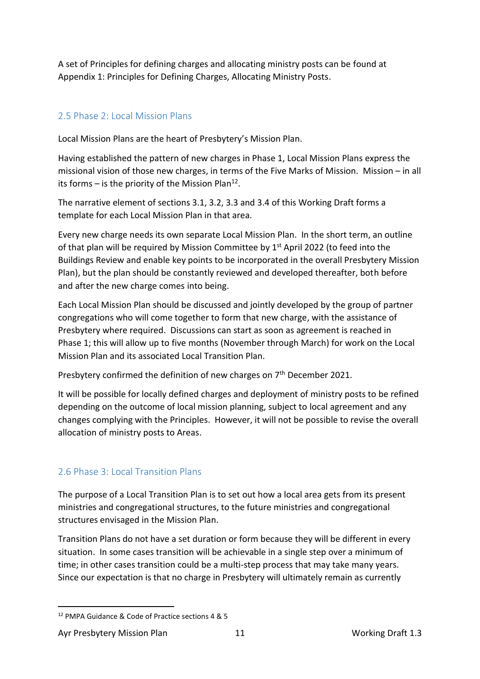A set of Principles for defining charges and allocating ministry posts can be found at Appendix 1: Principles for Defining Charges, Allocating Ministry Posts.

# <span id="page-10-0"></span>2.5 Phase 2: Local Mission Plans

Local Mission Plans are the heart of Presbytery's Mission Plan.

Having established the pattern of new charges in Phase 1, Local Mission Plans express the missional vision of those new charges, in terms of the Five Marks of Mission. Mission – in all its forms  $-$  is the priority of the Mission Plan<sup>12</sup>.

The narrative element of sections 3.1, 3.2, 3.3 and 3.4 of this Working Draft forms a template for each Local Mission Plan in that area.

Every new charge needs its own separate Local Mission Plan. In the short term, an outline of that plan will be required by Mission Committee by  $1<sup>st</sup>$  April 2022 (to feed into the Buildings Review and enable key points to be incorporated in the overall Presbytery Mission Plan), but the plan should be constantly reviewed and developed thereafter, both before and after the new charge comes into being.

Each Local Mission Plan should be discussed and jointly developed by the group of partner congregations who will come together to form that new charge, with the assistance of Presbytery where required. Discussions can start as soon as agreement is reached in Phase 1; this will allow up to five months (November through March) for work on the Local Mission Plan and its associated Local Transition Plan.

Presbytery confirmed the definition of new charges on 7<sup>th</sup> December 2021.

It will be possible for locally defined charges and deployment of ministry posts to be refined depending on the outcome of local mission planning, subject to local agreement and any changes complying with the Principles. However, it will not be possible to revise the overall allocation of ministry posts to Areas.

# <span id="page-10-1"></span>2.6 Phase 3: Local Transition Plans

The purpose of a Local Transition Plan is to set out how a local area gets from its present ministries and congregational structures, to the future ministries and congregational structures envisaged in the Mission Plan.

Transition Plans do not have a set duration or form because they will be different in every situation. In some cases transition will be achievable in a single step over a minimum of time; in other cases transition could be a multi-step process that may take many years. Since our expectation is that no charge in Presbytery will ultimately remain as currently

<sup>12</sup> PMPA Guidance & Code of Practice sections 4 & 5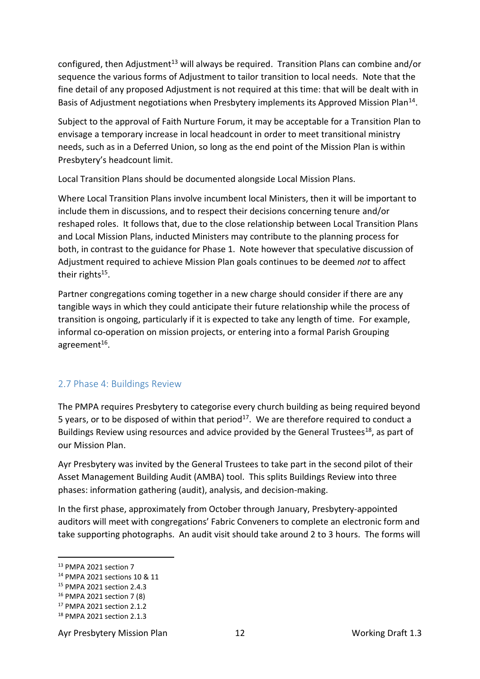configured, then Adjustment<sup>13</sup> will always be required. Transition Plans can combine and/or sequence the various forms of Adjustment to tailor transition to local needs. Note that the fine detail of any proposed Adjustment is not required at this time: that will be dealt with in Basis of Adjustment negotiations when Presbytery implements its Approved Mission Plan<sup>14</sup>.

Subject to the approval of Faith Nurture Forum, it may be acceptable for a Transition Plan to envisage a temporary increase in local headcount in order to meet transitional ministry needs, such as in a Deferred Union, so long as the end point of the Mission Plan is within Presbytery's headcount limit.

Local Transition Plans should be documented alongside Local Mission Plans.

Where Local Transition Plans involve incumbent local Ministers, then it will be important to include them in discussions, and to respect their decisions concerning tenure and/or reshaped roles. It follows that, due to the close relationship between Local Transition Plans and Local Mission Plans, inducted Ministers may contribute to the planning process for both, in contrast to the guidance for Phase 1. Note however that speculative discussion of Adjustment required to achieve Mission Plan goals continues to be deemed *not* to affect their rights<sup>15</sup>.

Partner congregations coming together in a new charge should consider if there are any tangible ways in which they could anticipate their future relationship while the process of transition is ongoing, particularly if it is expected to take any length of time. For example, informal co-operation on mission projects, or entering into a formal Parish Grouping agreement<sup>16</sup>.

## <span id="page-11-0"></span>2.7 Phase 4: Buildings Review

The PMPA requires Presbytery to categorise every church building as being required beyond 5 years, or to be disposed of within that period<sup>17</sup>. We are therefore required to conduct a Buildings Review using resources and advice provided by the General Trustees<sup>18</sup>, as part of our Mission Plan.

Ayr Presbytery was invited by the General Trustees to take part in the second pilot of their Asset Management Building Audit (AMBA) tool. This splits Buildings Review into three phases: information gathering (audit), analysis, and decision-making.

In the first phase, approximately from October through January, Presbytery-appointed auditors will meet with congregations' Fabric Conveners to complete an electronic form and take supporting photographs. An audit visit should take around 2 to 3 hours. The forms will

Ayr Presbytery Mission Plan 12 12 Working Draft 1.3

<sup>13</sup> PMPA 2021 section 7

<sup>14</sup> PMPA 2021 sections 10 & 11

<sup>15</sup> PMPA 2021 section 2.4.3

<sup>16</sup> PMPA 2021 section 7 (8)

<sup>17</sup> PMPA 2021 section 2.1.2

<sup>18</sup> PMPA 2021 section 2.1.3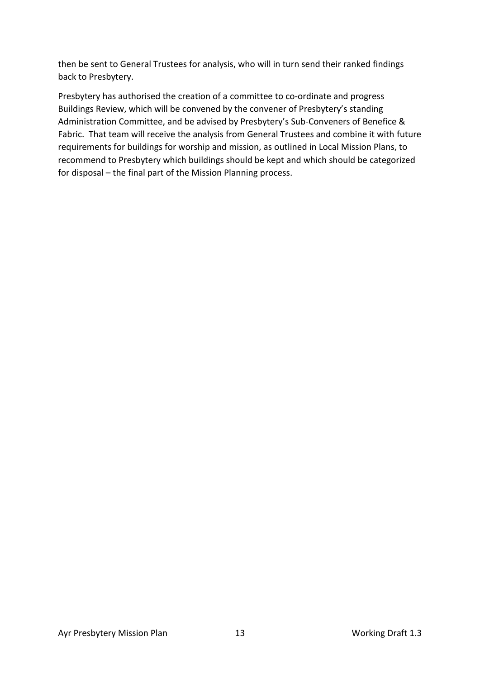then be sent to General Trustees for analysis, who will in turn send their ranked findings back to Presbytery.

Presbytery has authorised the creation of a committee to co-ordinate and progress Buildings Review, which will be convened by the convener of Presbytery's standing Administration Committee, and be advised by Presbytery's Sub-Conveners of Benefice & Fabric. That team will receive the analysis from General Trustees and combine it with future requirements for buildings for worship and mission, as outlined in Local Mission Plans, to recommend to Presbytery which buildings should be kept and which should be categorized for disposal – the final part of the Mission Planning process.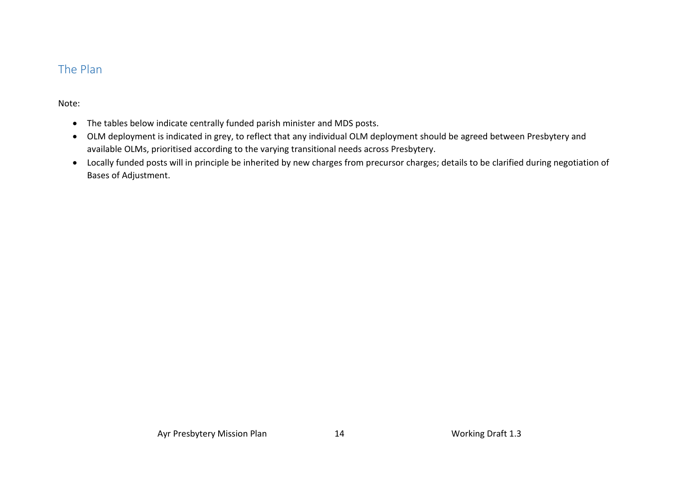# The Plan

### Note:

- The tables below indicate centrally funded parish minister and MDS posts.
- OLM deployment is indicated in grey, to reflect that any individual OLM deployment should be agreed between Presbytery and available OLMs, prioritised according to the varying transitional needs across Presbytery.
- <span id="page-13-0"></span>• Locally funded posts will in principle be inherited by new charges from precursor charges; details to be clarified during negotiation of Bases of Adjustment.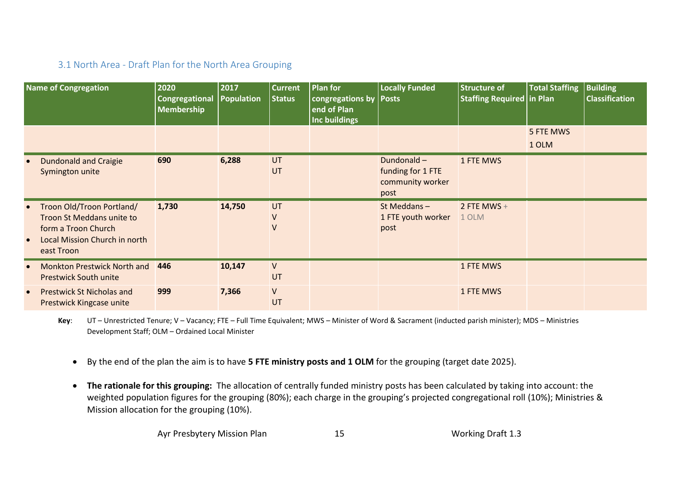# 3.1 North Area - Draft Plan for the North Area Grouping

|           | <b>Name of Congregation</b>                                                                                                  | 2020<br><b>Congregational</b><br>Membership | 2017<br><b>Population</b> | <b>Current</b><br><b>Status</b> | Plan for<br>congregations by<br>end of Plan<br>Inc buildings | <b>Locally Funded</b><br><b>Posts</b>                       | <b>Structure of</b><br><b>Staffing Required in Plan</b> | <b>Total Staffing</b> | <b>Building</b><br><b>Classification</b> |
|-----------|------------------------------------------------------------------------------------------------------------------------------|---------------------------------------------|---------------------------|---------------------------------|--------------------------------------------------------------|-------------------------------------------------------------|---------------------------------------------------------|-----------------------|------------------------------------------|
|           |                                                                                                                              |                                             |                           |                                 |                                                              |                                                             |                                                         | 5 FTE MWS             |                                          |
|           |                                                                                                                              |                                             |                           |                                 |                                                              |                                                             |                                                         | 1 OLM                 |                                          |
|           | <b>Dundonald and Craigie</b><br>Symington unite                                                                              | 690                                         | 6,288                     | UT<br>UT                        |                                                              | Dundonald-<br>funding for 1 FTE<br>community worker<br>post | 1 FTE MWS                                               |                       |                                          |
|           | Troon Old/Troon Portland/<br>Troon St Meddans unite to<br>form a Troon Church<br>Local Mission Church in north<br>east Troon | 1,730                                       | 14,750                    | UT<br>$\vee$<br>$\vee$          |                                                              | St Meddans-<br>1 FTE youth worker<br>post                   | 2 FTE MWS $+$<br>1 OLM                                  |                       |                                          |
|           | <b>Monkton Prestwick North and</b><br><b>Prestwick South unite</b>                                                           | 446                                         | 10,147                    | V<br>UT                         |                                                              |                                                             | 1 FTE MWS                                               |                       |                                          |
| $\bullet$ | <b>Prestwick St Nicholas and</b><br>Prestwick Kingcase unite                                                                 | 999                                         | 7,366                     | $\vee$<br>UT                    |                                                              |                                                             | 1 FTE MWS                                               |                       |                                          |

<span id="page-14-0"></span>**Key**: UT – Unrestricted Tenure; V – Vacancy; FTE – Full Time Equivalent; MWS – Minister of Word & Sacrament (inducted parish minister); MDS – Ministries Development Staff; OLM – Ordained Local Minister

- By the end of the plan the aim is to have **5 FTE ministry posts and 1 OLM** for the grouping (target date 2025).
- **The rationale for this grouping:** The allocation of centrally funded ministry posts has been calculated by taking into account: the weighted population figures for the grouping (80%); each charge in the grouping's projected congregational roll (10%); Ministries & Mission allocation for the grouping (10%).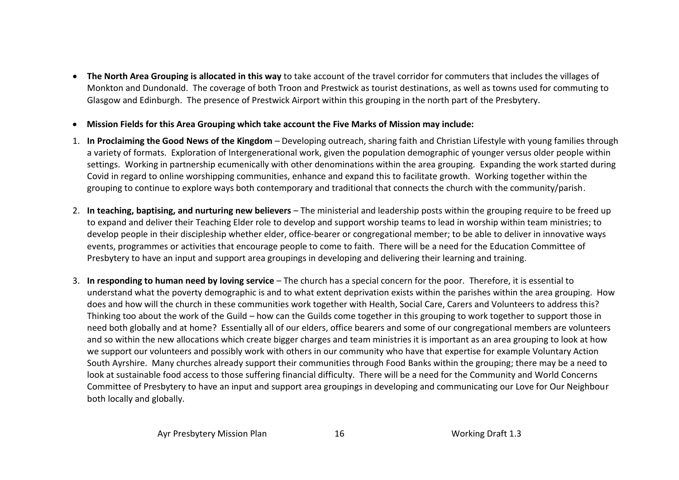- **The North Area Grouping is allocated in this way** to take account of the travel corridor for commuters that includes the villages of Monkton and Dundonald. The coverage of both Troon and Prestwick as tourist destinations, as well as towns used for commuting to Glasgow and Edinburgh. The presence of Prestwick Airport within this grouping in the north part of the Presbytery.
- **Mission Fields for this Area Grouping which take account the Five Marks of Mission may include:**
- 1. **In Proclaiming the Good News of the Kingdom** Developing outreach, sharing faith and Christian Lifestyle with young families through a variety of formats. Exploration of Intergenerational work, given the population demographic of younger versus older people within settings. Working in partnership ecumenically with other denominations within the area grouping. Expanding the work started during Covid in regard to online worshipping communities, enhance and expand this to facilitate growth. Working together within the grouping to continue to explore ways both contemporary and traditional that connects the church with the community/parish.
- 2. **In teaching, baptising, and nurturing new believers** The ministerial and leadership posts within the grouping require to be freed up to expand and deliver their Teaching Elder role to develop and support worship teams to lead in worship within team ministries; to develop people in their discipleship whether elder, office-bearer or congregational member; to be able to deliver in innovative ways events, programmes or activities that encourage people to come to faith. There will be a need for the Education Committee of Presbytery to have an input and support area groupings in developing and delivering their learning and training.
- 3. **In responding to human need by loving service**  The church has a special concern for the poor. Therefore, it is essential to understand what the poverty demographic is and to what extent deprivation exists within the parishes within the area grouping. How does and how will the church in these communities work together with Health, Social Care, Carers and Volunteers to address this? Thinking too about the work of the Guild – how can the Guilds come together in this grouping to work together to support those in need both globally and at home? Essentially all of our elders, office bearers and some of our congregational members are volunteers and so within the new allocations which create bigger charges and team ministries it is important as an area grouping to look at how we support our volunteers and possibly work with others in our community who have that expertise for example Voluntary Action South Ayrshire. Many churches already support their communities through Food Banks within the grouping; there may be a need to look at sustainable food access to those suffering financial difficulty. There will be a need for the Community and World Concerns Committee of Presbytery to have an input and support area groupings in developing and communicating our Love for Our Neighbour both locally and globally.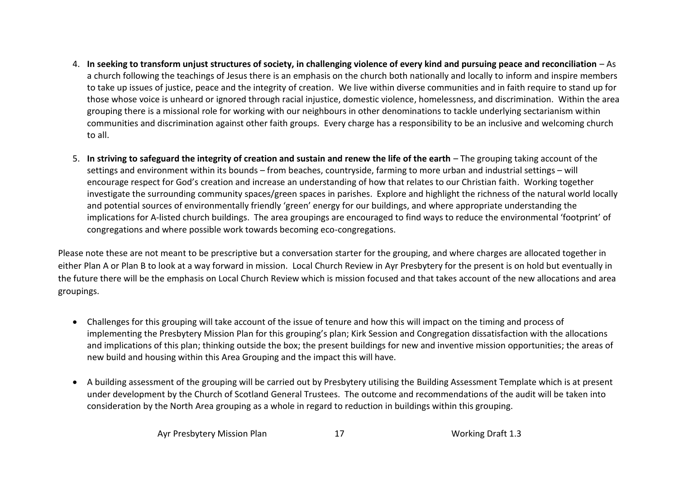- 4. **In seeking to transform unjust structures of society, in challenging violence of every kind and pursuing peace and reconciliation** As a church following the teachings of Jesus there is an emphasis on the church both nationally and locally to inform and inspire members to take up issues of justice, peace and the integrity of creation. We live within diverse communities and in faith require to stand up for those whose voice is unheard or ignored through racial injustice, domestic violence, homelessness, and discrimination. Within the area grouping there is a missional role for working with our neighbours in other denominations to tackle underlying sectarianism within communities and discrimination against other faith groups. Every charge has a responsibility to be an inclusive and welcoming church to all.
- 5. **In striving to safeguard the integrity of creation and sustain and renew the life of the earth** The grouping taking account of the settings and environment within its bounds – from beaches, countryside, farming to more urban and industrial settings – will encourage respect for God's creation and increase an understanding of how that relates to our Christian faith. Working together investigate the surrounding community spaces/green spaces in parishes. Explore and highlight the richness of the natural world locally and potential sources of environmentally friendly 'green' energy for our buildings, and where appropriate understanding the implications for A-listed church buildings. The area groupings are encouraged to find ways to reduce the environmental 'footprint' of congregations and where possible work towards becoming eco-congregations.

Please note these are not meant to be prescriptive but a conversation starter for the grouping, and where charges are allocated together in either Plan A or Plan B to look at a way forward in mission. Local Church Review in Ayr Presbytery for the present is on hold but eventually in the future there will be the emphasis on Local Church Review which is mission focused and that takes account of the new allocations and area groupings.

- Challenges for this grouping will take account of the issue of tenure and how this will impact on the timing and process of implementing the Presbytery Mission Plan for this grouping's plan; Kirk Session and Congregation dissatisfaction with the allocations and implications of this plan; thinking outside the box; the present buildings for new and inventive mission opportunities; the areas of new build and housing within this Area Grouping and the impact this will have.
- A building assessment of the grouping will be carried out by Presbytery utilising the Building Assessment Template which is at present under development by the Church of Scotland General Trustees. The outcome and recommendations of the audit will be taken into consideration by the North Area grouping as a whole in regard to reduction in buildings within this grouping.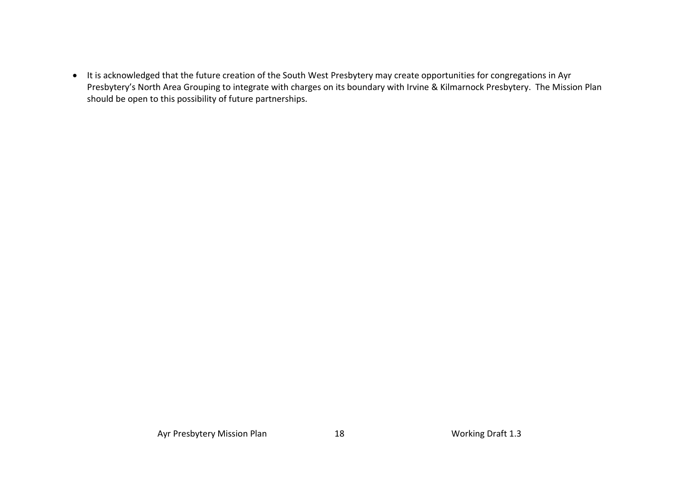• It is acknowledged that the future creation of the South West Presbytery may create opportunities for congregations in Ayr Presbytery's North Area Grouping to integrate with charges on its boundary with Irvine & Kilmarnock Presbytery. The Mission Plan should be open to this possibility of future partnerships.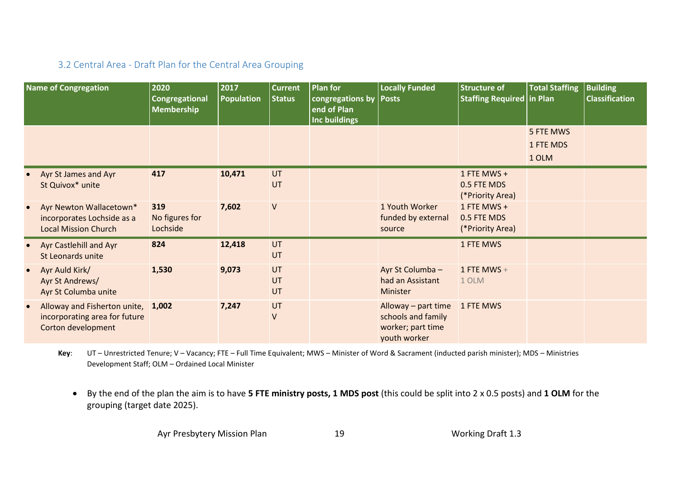# 3.2 Central Area - Draft Plan for the Central Area Grouping

|           | <b>Name of Congregation</b>                                                               | 2020<br>Congregational<br><b>Membership</b> | 2017<br><b>Population</b> | <b>Current</b><br><b>Status</b> | <b>Plan for</b><br>congregations by<br>end of Plan<br><b>Inc buildings</b> | <b>Locally Funded</b><br><b>Posts</b>                                          | <b>Structure of</b><br><b>Staffing Required</b> | <b>Total Staffing</b><br>in Plan | <b>Building</b><br><b>Classification</b> |
|-----------|-------------------------------------------------------------------------------------------|---------------------------------------------|---------------------------|---------------------------------|----------------------------------------------------------------------------|--------------------------------------------------------------------------------|-------------------------------------------------|----------------------------------|------------------------------------------|
|           |                                                                                           |                                             |                           |                                 |                                                                            |                                                                                |                                                 | 5 FTE MWS<br>1 FTE MDS           |                                          |
|           |                                                                                           |                                             |                           |                                 |                                                                            |                                                                                |                                                 | 1 OLM                            |                                          |
|           | Ayr St James and Ayr<br>St Quivox* unite                                                  | 417                                         | 10,471                    | UT<br>UT                        |                                                                            |                                                                                | 1 FTE MWS +<br>0.5 FTE MDS<br>(*Priority Area)  |                                  |                                          |
|           | Ayr Newton Wallacetown*<br>incorporates Lochside as a<br><b>Local Mission Church</b>      | 319<br>No figures for<br>Lochside           | 7,602                     | $\sf V$                         |                                                                            | 1 Youth Worker<br>funded by external<br>source                                 | 1 FTE MWS +<br>0.5 FTE MDS<br>(*Priority Area)  |                                  |                                          |
|           | Ayr Castlehill and Ayr<br>St Leonards unite                                               | 824                                         | 12,418                    | UT<br>UT                        |                                                                            |                                                                                | 1 FTE MWS                                       |                                  |                                          |
| $\bullet$ | Ayr Auld Kirk/<br>Ayr St Andrews/<br>Ayr St Columba unite                                 | 1,530                                       | 9,073                     | UT<br>UT<br>UT                  |                                                                            | Ayr St Columba -<br>had an Assistant<br>Minister                               | 1 FTE MWS +<br>1 OLM                            |                                  |                                          |
| $\bullet$ | Alloway and Fisherton unite, 1,002<br>incorporating area for future<br>Corton development |                                             | 7,247                     | UT<br>$\sf V$                   |                                                                            | Alloway – part time<br>schools and family<br>worker; part time<br>youth worker | 1 FTE MWS                                       |                                  |                                          |

<span id="page-18-0"></span>**Key**: UT – Unrestricted Tenure; V – Vacancy; FTE – Full Time Equivalent; MWS – Minister of Word & Sacrament (inducted parish minister); MDS – Ministries Development Staff; OLM – Ordained Local Minister

• By the end of the plan the aim is to have **5 FTE ministry posts, 1 MDS post** (this could be split into 2 x 0.5 posts) and **1 OLM** for the grouping (target date 2025).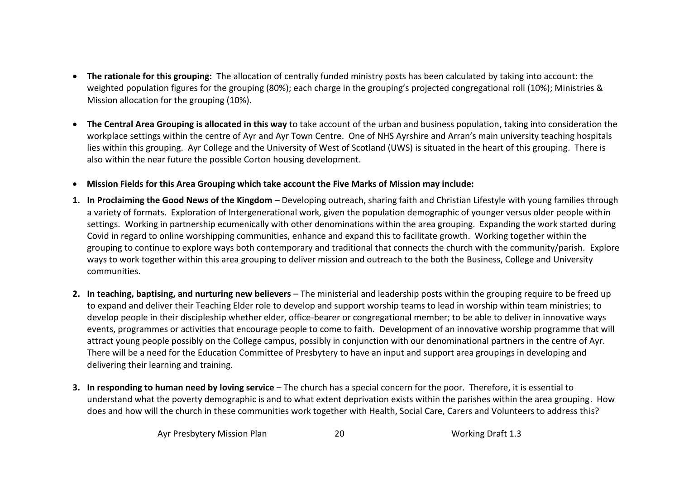- **The rationale for this grouping:** The allocation of centrally funded ministry posts has been calculated by taking into account: the weighted population figures for the grouping (80%); each charge in the grouping's projected congregational roll (10%); Ministries & Mission allocation for the grouping (10%).
- **The Central Area Grouping is allocated in this way** to take account of the urban and business population, taking into consideration the workplace settings within the centre of Ayr and Ayr Town Centre. One of NHS Ayrshire and Arran's main university teaching hospitals lies within this grouping. Ayr College and the University of West of Scotland (UWS) is situated in the heart of this grouping. There is also within the near future the possible Corton housing development.
- **Mission Fields for this Area Grouping which take account the Five Marks of Mission may include:**
- **1. In Proclaiming the Good News of the Kingdom** Developing outreach, sharing faith and Christian Lifestyle with young families through a variety of formats. Exploration of Intergenerational work, given the population demographic of younger versus older people within settings. Working in partnership ecumenically with other denominations within the area grouping. Expanding the work started during Covid in regard to online worshipping communities, enhance and expand this to facilitate growth. Working together within the grouping to continue to explore ways both contemporary and traditional that connects the church with the community/parish. Explore ways to work together within this area grouping to deliver mission and outreach to the both the Business, College and University communities.
- **2. In teaching, baptising, and nurturing new believers** The ministerial and leadership posts within the grouping require to be freed up to expand and deliver their Teaching Elder role to develop and support worship teams to lead in worship within team ministries; to develop people in their discipleship whether elder, office-bearer or congregational member; to be able to deliver in innovative ways events, programmes or activities that encourage people to come to faith. Development of an innovative worship programme that will attract young people possibly on the College campus, possibly in conjunction with our denominational partners in the centre of Ayr. There will be a need for the Education Committee of Presbytery to have an input and support area groupings in developing and delivering their learning and training.
- **3. In responding to human need by loving service**  The church has a special concern for the poor. Therefore, it is essential to understand what the poverty demographic is and to what extent deprivation exists within the parishes within the area grouping. How does and how will the church in these communities work together with Health, Social Care, Carers and Volunteers to address this?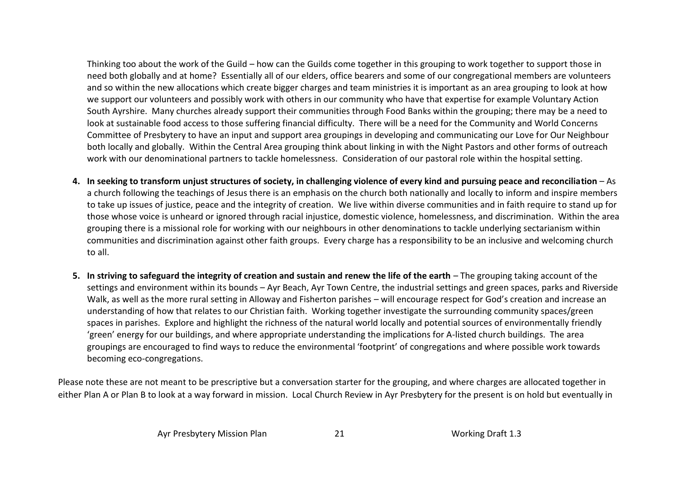Thinking too about the work of the Guild – how can the Guilds come together in this grouping to work together to support those in need both globally and at home? Essentially all of our elders, office bearers and some of our congregational members are volunteers and so within the new allocations which create bigger charges and team ministries it is important as an area grouping to look at how we support our volunteers and possibly work with others in our community who have that expertise for example Voluntary Action South Ayrshire. Many churches already support their communities through Food Banks within the grouping; there may be a need to look at sustainable food access to those suffering financial difficulty. There will be a need for the Community and World Concerns Committee of Presbytery to have an input and support area groupings in developing and communicating our Love for Our Neighbour both locally and globally. Within the Central Area grouping think about linking in with the Night Pastors and other forms of outreach work with our denominational partners to tackle homelessness. Consideration of our pastoral role within the hospital setting.

- **4. In seeking to transform unjust structures of society, in challenging violence of every kind and pursuing peace and reconciliation**  As a church following the teachings of Jesus there is an emphasis on the church both nationally and locally to inform and inspire members to take up issues of justice, peace and the integrity of creation. We live within diverse communities and in faith require to stand up for those whose voice is unheard or ignored through racial injustice, domestic violence, homelessness, and discrimination. Within the area grouping there is a missional role for working with our neighbours in other denominations to tackle underlying sectarianism within communities and discrimination against other faith groups. Every charge has a responsibility to be an inclusive and welcoming church to all.
- **5.** In striving to safeguard the integrity of creation and sustain and renew the life of the earth The grouping taking account of the settings and environment within its bounds – Ayr Beach, Ayr Town Centre, the industrial settings and green spaces, parks and Riverside Walk, as well as the more rural setting in Alloway and Fisherton parishes – will encourage respect for God's creation and increase an understanding of how that relates to our Christian faith. Working together investigate the surrounding community spaces/green spaces in parishes. Explore and highlight the richness of the natural world locally and potential sources of environmentally friendly 'green' energy for our buildings, and where appropriate understanding the implications for A-listed church buildings. The area groupings are encouraged to find ways to reduce the environmental 'footprint' of congregations and where possible work towards becoming eco-congregations.

Please note these are not meant to be prescriptive but a conversation starter for the grouping, and where charges are allocated together in either Plan A or Plan B to look at a way forward in mission. Local Church Review in Ayr Presbytery for the present is on hold but eventually in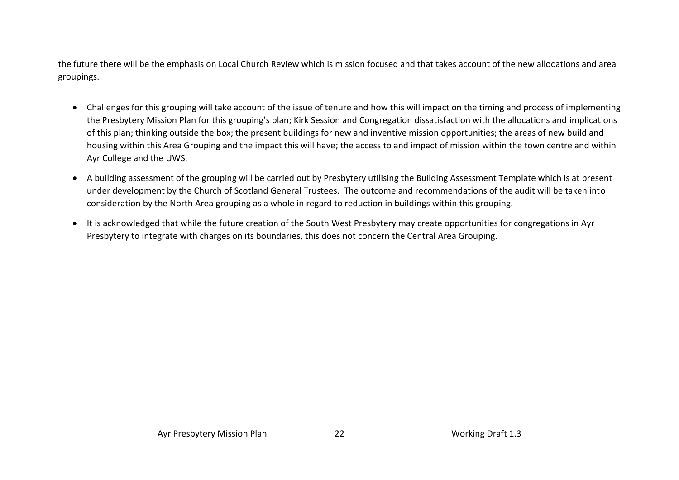the future there will be the emphasis on Local Church Review which is mission focused and that takes account of the new allocations and area groupings.

- Challenges for this grouping will take account of the issue of tenure and how this will impact on the timing and process of implementing the Presbytery Mission Plan for this grouping's plan; Kirk Session and Congregation dissatisfaction with the allocations and implications of this plan; thinking outside the box; the present buildings for new and inventive mission opportunities; the areas of new build and housing within this Area Grouping and the impact this will have; the access to and impact of mission within the town centre and within Ayr College and the UWS.
- A building assessment of the grouping will be carried out by Presbytery utilising the Building Assessment Template which is at present under development by the Church of Scotland General Trustees. The outcome and recommendations of the audit will be taken into consideration by the North Area grouping as a whole in regard to reduction in buildings within this grouping.
- It is acknowledged that while the future creation of the South West Presbytery may create opportunities for congregations in Ayr Presbytery to integrate with charges on its boundaries, this does not concern the Central Area Grouping.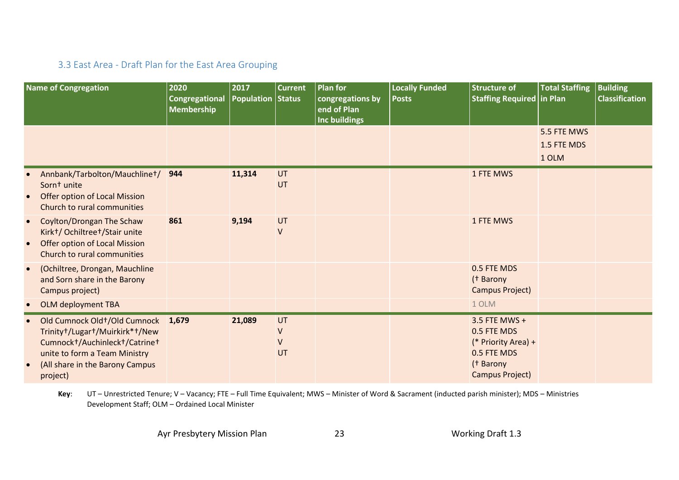# 3.3 East Area - Draft Plan for the East Area Grouping

|                        | <b>Name of Congregation</b>                                                                                                                                                           | 2020<br>Congregational<br><b>Membership</b> | 2017<br><b>Population Status</b> | <b>Current</b>               | <b>Plan for</b><br>congregations by<br>end of Plan<br><b>Inc buildings</b> | <b>Locally Funded</b><br><b>Posts</b> | <b>Structure of</b><br><b>Staffing Required in Plan</b>                                            | <b>Total Staffing</b>      | <b>Building</b><br><b>Classification</b> |
|------------------------|---------------------------------------------------------------------------------------------------------------------------------------------------------------------------------------|---------------------------------------------|----------------------------------|------------------------------|----------------------------------------------------------------------------|---------------------------------------|----------------------------------------------------------------------------------------------------|----------------------------|------------------------------------------|
|                        |                                                                                                                                                                                       |                                             |                                  |                              |                                                                            |                                       |                                                                                                    | 5.5 FTE MWS<br>1.5 FTE MDS |                                          |
|                        |                                                                                                                                                                                       |                                             |                                  |                              |                                                                            |                                       |                                                                                                    | 1 OLM                      |                                          |
| $\bullet$              | Annbank/Tarbolton/Mauchlinet/<br>Sornt unite<br><b>Offer option of Local Mission</b><br>Church to rural communities                                                                   | 944                                         | 11,314                           | UT<br>UT                     |                                                                            |                                       | 1 FTE MWS                                                                                          |                            |                                          |
| $\bullet$<br>$\bullet$ | Coylton/Drongan The Schaw<br>Kirk+/ Ochiltree+/Stair unite<br><b>Offer option of Local Mission</b><br>Church to rural communities                                                     | 861                                         | 9,194                            | UT<br>$\vee$                 |                                                                            |                                       | 1 FTE MWS                                                                                          |                            |                                          |
| $\bullet$              | (Ochiltree, Drongan, Mauchline<br>and Sorn share in the Barony<br>Campus project)                                                                                                     |                                             |                                  |                              |                                                                            |                                       | 0.5 FTE MDS<br>(† Barony<br><b>Campus Project)</b>                                                 |                            |                                          |
| $\bullet$              | <b>OLM deployment TBA</b>                                                                                                                                                             |                                             |                                  |                              |                                                                            |                                       | 1 OLM                                                                                              |                            |                                          |
|                        | Old Cumnock Old+/Old Cumnock 1,679<br>Trinity+/Lugar+/Muirkirk*+/New<br>Cumnock+/Auchinleck+/Catrine+<br>unite to form a Team Ministry<br>(All share in the Barony Campus<br>project) |                                             | 21,089                           | UT<br>$\vee$<br>$\vee$<br>UT |                                                                            |                                       | 3.5 FTE MWS +<br>0.5 FTE MDS<br>(* Priority Area) +<br>0.5 FTE MDS<br>(† Barony<br>Campus Project) |                            |                                          |

<span id="page-22-0"></span>**Key**: UT – Unrestricted Tenure; V – Vacancy; FTE – Full Time Equivalent; MWS – Minister of Word & Sacrament (inducted parish minister); MDS – Ministries Development Staff; OLM – Ordained Local Minister

Ayr Presbytery Mission Plan 23 23 Working Draft 1.3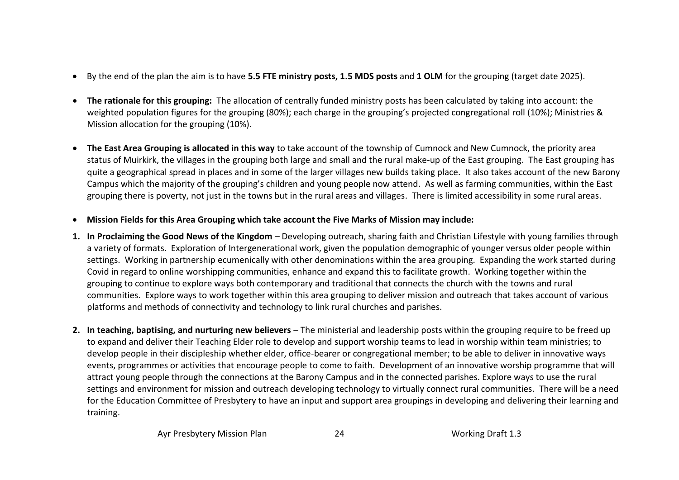- By the end of the plan the aim is to have **5.5 FTE ministry posts, 1.5 MDS posts** and **1 OLM** for the grouping (target date 2025).
- **The rationale for this grouping:** The allocation of centrally funded ministry posts has been calculated by taking into account: the weighted population figures for the grouping (80%); each charge in the grouping's projected congregational roll (10%); Ministries & Mission allocation for the grouping (10%).
- **The East Area Grouping is allocated in this way** to take account of the township of Cumnock and New Cumnock, the priority area status of Muirkirk, the villages in the grouping both large and small and the rural make-up of the East grouping. The East grouping has quite a geographical spread in places and in some of the larger villages new builds taking place. It also takes account of the new Barony Campus which the majority of the grouping's children and young people now attend. As well as farming communities, within the East grouping there is poverty, not just in the towns but in the rural areas and villages. There is limited accessibility in some rural areas.
- **Mission Fields for this Area Grouping which take account the Five Marks of Mission may include:**
- **1. In Proclaiming the Good News of the Kingdom** Developing outreach, sharing faith and Christian Lifestyle with young families through a variety of formats. Exploration of Intergenerational work, given the population demographic of younger versus older people within settings. Working in partnership ecumenically with other denominations within the area grouping. Expanding the work started during Covid in regard to online worshipping communities, enhance and expand this to facilitate growth. Working together within the grouping to continue to explore ways both contemporary and traditional that connects the church with the towns and rural communities. Explore ways to work together within this area grouping to deliver mission and outreach that takes account of various platforms and methods of connectivity and technology to link rural churches and parishes.
- **2. In teaching, baptising, and nurturing new believers** The ministerial and leadership posts within the grouping require to be freed up to expand and deliver their Teaching Elder role to develop and support worship teams to lead in worship within team ministries; to develop people in their discipleship whether elder, office-bearer or congregational member; to be able to deliver in innovative ways events, programmes or activities that encourage people to come to faith. Development of an innovative worship programme that will attract young people through the connections at the Barony Campus and in the connected parishes. Explore ways to use the rural settings and environment for mission and outreach developing technology to virtually connect rural communities. There will be a need for the Education Committee of Presbytery to have an input and support area groupings in developing and delivering their learning and training.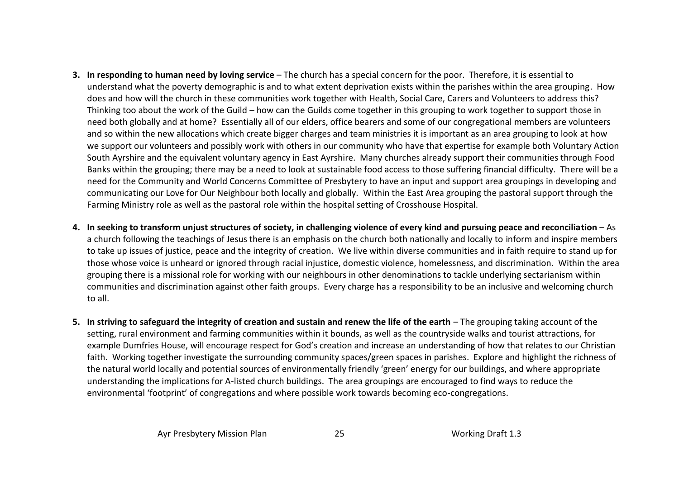- **3. In responding to human need by loving service**  The church has a special concern for the poor. Therefore, it is essential to understand what the poverty demographic is and to what extent deprivation exists within the parishes within the area grouping. How does and how will the church in these communities work together with Health, Social Care, Carers and Volunteers to address this? Thinking too about the work of the Guild – how can the Guilds come together in this grouping to work together to support those in need both globally and at home? Essentially all of our elders, office bearers and some of our congregational members are volunteers and so within the new allocations which create bigger charges and team ministries it is important as an area grouping to look at how we support our volunteers and possibly work with others in our community who have that expertise for example both Voluntary Action South Ayrshire and the equivalent voluntary agency in East Ayrshire. Many churches already support their communities through Food Banks within the grouping; there may be a need to look at sustainable food access to those suffering financial difficulty. There will be a need for the Community and World Concerns Committee of Presbytery to have an input and support area groupings in developing and communicating our Love for Our Neighbour both locally and globally. Within the East Area grouping the pastoral support through the Farming Ministry role as well as the pastoral role within the hospital setting of Crosshouse Hospital.
- **4. In seeking to transform unjust structures of society, in challenging violence of every kind and pursuing peace and reconciliation**  As a church following the teachings of Jesus there is an emphasis on the church both nationally and locally to inform and inspire members to take up issues of justice, peace and the integrity of creation. We live within diverse communities and in faith require to stand up for those whose voice is unheard or ignored through racial injustice, domestic violence, homelessness, and discrimination. Within the area grouping there is a missional role for working with our neighbours in other denominations to tackle underlying sectarianism within communities and discrimination against other faith groups. Every charge has a responsibility to be an inclusive and welcoming church to all.
- **5.** In striving to safeguard the integrity of creation and sustain and renew the life of the earth The grouping taking account of the setting, rural environment and farming communities within it bounds, as well as the countryside walks and tourist attractions, for example Dumfries House, will encourage respect for God's creation and increase an understanding of how that relates to our Christian faith. Working together investigate the surrounding community spaces/green spaces in parishes. Explore and highlight the richness of the natural world locally and potential sources of environmentally friendly 'green' energy for our buildings, and where appropriate understanding the implications for A-listed church buildings. The area groupings are encouraged to find ways to reduce the environmental 'footprint' of congregations and where possible work towards becoming eco-congregations.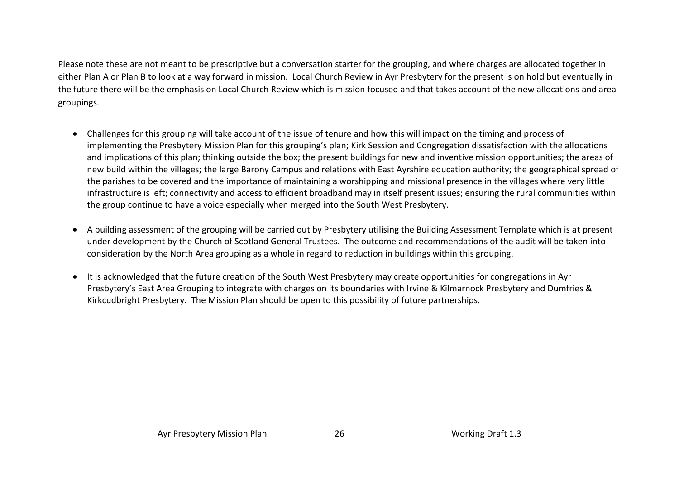Please note these are not meant to be prescriptive but a conversation starter for the grouping, and where charges are allocated together in either Plan A or Plan B to look at a way forward in mission. Local Church Review in Ayr Presbytery for the present is on hold but eventually in the future there will be the emphasis on Local Church Review which is mission focused and that takes account of the new allocations and area groupings.

- Challenges for this grouping will take account of the issue of tenure and how this will impact on the timing and process of implementing the Presbytery Mission Plan for this grouping's plan; Kirk Session and Congregation dissatisfaction with the allocations and implications of this plan; thinking outside the box; the present buildings for new and inventive mission opportunities; the areas of new build within the villages; the large Barony Campus and relations with East Ayrshire education authority; the geographical spread of the parishes to be covered and the importance of maintaining a worshipping and missional presence in the villages where very little infrastructure is left; connectivity and access to efficient broadband may in itself present issues; ensuring the rural communities within the group continue to have a voice especially when merged into the South West Presbytery.
- A building assessment of the grouping will be carried out by Presbytery utilising the Building Assessment Template which is at present under development by the Church of Scotland General Trustees. The outcome and recommendations of the audit will be taken into consideration by the North Area grouping as a whole in regard to reduction in buildings within this grouping.
- It is acknowledged that the future creation of the South West Presbytery may create opportunities for congregations in Ayr Presbytery's East Area Grouping to integrate with charges on its boundaries with Irvine & Kilmarnock Presbytery and Dumfries & Kirkcudbright Presbytery. The Mission Plan should be open to this possibility of future partnerships.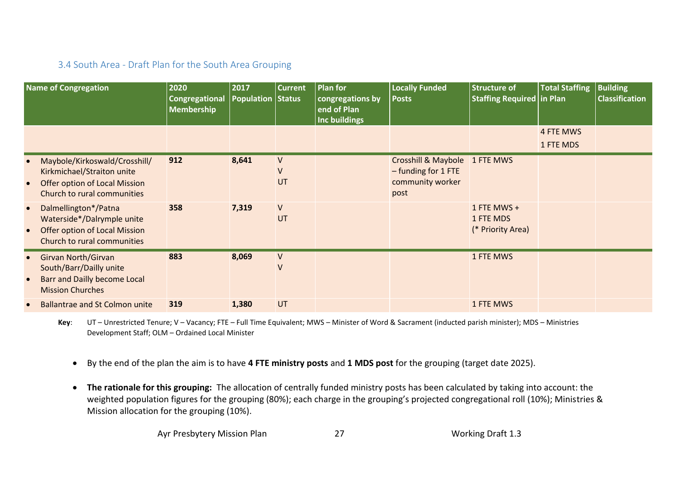# 3.4 South Area - Draft Plan for the South Area Grouping

|                        | <b>Name of Congregation</b>                                                                                                 | 2020<br><b>Congregational</b><br><b>Membership</b> | 2017<br><b>Population Status</b> | <b>Current</b>                     | <b>Plan for</b><br>congregations by<br>end of Plan<br><b>Inc buildings</b> | <b>Locally Funded</b><br><b>Posts</b>                                              | <b>Structure of</b><br>Staffing Required in Plan | <b>Total Staffing</b>  | <b>Building</b><br><b>Classification</b> |
|------------------------|-----------------------------------------------------------------------------------------------------------------------------|----------------------------------------------------|----------------------------------|------------------------------------|----------------------------------------------------------------------------|------------------------------------------------------------------------------------|--------------------------------------------------|------------------------|------------------------------------------|
|                        |                                                                                                                             |                                                    |                                  |                                    |                                                                            |                                                                                    |                                                  | 4 FTE MWS<br>1 FTE MDS |                                          |
| $\bullet$              | Maybole/Kirkoswald/Crosshill/<br>Kirkmichael/Straiton unite<br>Offer option of Local Mission<br>Church to rural communities | 912                                                | 8,641                            | $\mathsf{V}$<br>$\mathsf{V}$<br>UT |                                                                            | Crosshill & Maybole 1 FTE MWS<br>$-$ funding for 1 FTE<br>community worker<br>post |                                                  |                        |                                          |
| $\bullet$<br>$\bullet$ | Dalmellington*/Patna<br>Waterside*/Dalrymple unite<br><b>Offer option of Local Mission</b><br>Church to rural communities   | 358                                                | 7,319                            | ${\sf V}$<br>UT                    |                                                                            |                                                                                    | 1 FTE MWS $+$<br>1 FTE MDS<br>(* Priority Area)  |                        |                                          |
| $\bullet$              | Girvan North/Girvan<br>South/Barr/Dailly unite<br>Barr and Dailly become Local<br><b>Mission Churches</b>                   | 883                                                | 8,069                            | $\vee$<br>$\mathsf{V}$             |                                                                            |                                                                                    | 1 FTE MWS                                        |                        |                                          |
| $\bullet$              | <b>Ballantrae and St Colmon unite</b>                                                                                       | 319                                                | 1,380                            | UT                                 |                                                                            |                                                                                    | 1 FTE MWS                                        |                        |                                          |

<span id="page-26-0"></span>**Key**: UT – Unrestricted Tenure; V – Vacancy; FTE – Full Time Equivalent; MWS – Minister of Word & Sacrament (inducted parish minister); MDS – Ministries Development Staff; OLM – Ordained Local Minister

- By the end of the plan the aim is to have **4 FTE ministry posts** and **1 MDS post** for the grouping (target date 2025).
- **The rationale for this grouping:** The allocation of centrally funded ministry posts has been calculated by taking into account: the weighted population figures for the grouping (80%); each charge in the grouping's projected congregational roll (10%); Ministries & Mission allocation for the grouping (10%).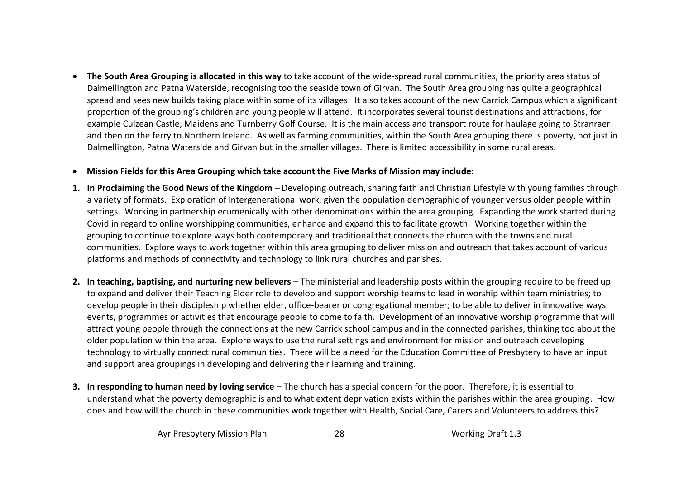- **The South Area Grouping is allocated in this way** to take account of the wide-spread rural communities, the priority area status of Dalmellington and Patna Waterside, recognising too the seaside town of Girvan. The South Area grouping has quite a geographical spread and sees new builds taking place within some of its villages. It also takes account of the new Carrick Campus which a significant proportion of the grouping's children and young people will attend. It incorporates several tourist destinations and attractions, for example Culzean Castle, Maidens and Turnberry Golf Course. It is the main access and transport route for haulage going to Stranraer and then on the ferry to Northern Ireland. As well as farming communities, within the South Area grouping there is poverty, not just in Dalmellington, Patna Waterside and Girvan but in the smaller villages. There is limited accessibility in some rural areas.
- **Mission Fields for this Area Grouping which take account the Five Marks of Mission may include:**
- **1. In Proclaiming the Good News of the Kingdom** Developing outreach, sharing faith and Christian Lifestyle with young families through a variety of formats. Exploration of Intergenerational work, given the population demographic of younger versus older people within settings. Working in partnership ecumenically with other denominations within the area grouping. Expanding the work started during Covid in regard to online worshipping communities, enhance and expand this to facilitate growth. Working together within the grouping to continue to explore ways both contemporary and traditional that connects the church with the towns and rural communities. Explore ways to work together within this area grouping to deliver mission and outreach that takes account of various platforms and methods of connectivity and technology to link rural churches and parishes.
- **2. In teaching, baptising, and nurturing new believers** The ministerial and leadership posts within the grouping require to be freed up to expand and deliver their Teaching Elder role to develop and support worship teams to lead in worship within team ministries; to develop people in their discipleship whether elder, office-bearer or congregational member; to be able to deliver in innovative ways events, programmes or activities that encourage people to come to faith. Development of an innovative worship programme that will attract young people through the connections at the new Carrick school campus and in the connected parishes, thinking too about the older population within the area. Explore ways to use the rural settings and environment for mission and outreach developing technology to virtually connect rural communities. There will be a need for the Education Committee of Presbytery to have an input and support area groupings in developing and delivering their learning and training.
- **3. In responding to human need by loving service**  The church has a special concern for the poor. Therefore, it is essential to understand what the poverty demographic is and to what extent deprivation exists within the parishes within the area grouping. How does and how will the church in these communities work together with Health, Social Care, Carers and Volunteers to address this?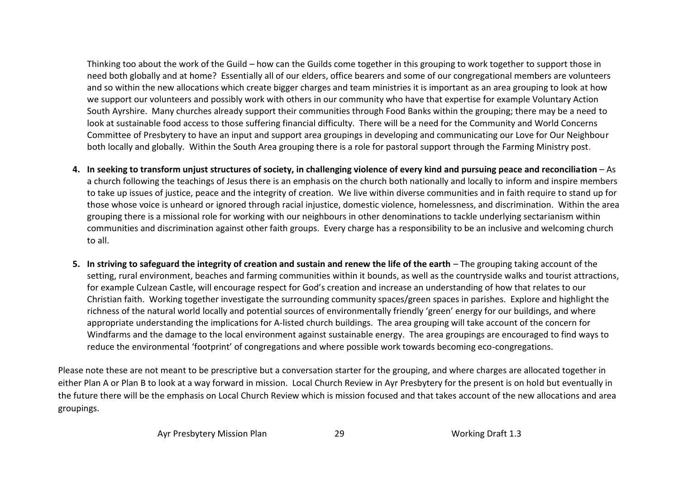Thinking too about the work of the Guild – how can the Guilds come together in this grouping to work together to support those in need both globally and at home? Essentially all of our elders, office bearers and some of our congregational members are volunteers and so within the new allocations which create bigger charges and team ministries it is important as an area grouping to look at how we support our volunteers and possibly work with others in our community who have that expertise for example Voluntary Action South Ayrshire. Many churches already support their communities through Food Banks within the grouping; there may be a need to look at sustainable food access to those suffering financial difficulty. There will be a need for the Community and World Concerns Committee of Presbytery to have an input and support area groupings in developing and communicating our Love for Our Neighbour both locally and globally. Within the South Area grouping there is a role for pastoral support through the Farming Ministry post.

- **4. In seeking to transform unjust structures of society, in challenging violence of every kind and pursuing peace and reconciliation**  As a church following the teachings of Jesus there is an emphasis on the church both nationally and locally to inform and inspire members to take up issues of justice, peace and the integrity of creation. We live within diverse communities and in faith require to stand up for those whose voice is unheard or ignored through racial injustice, domestic violence, homelessness, and discrimination. Within the area grouping there is a missional role for working with our neighbours in other denominations to tackle underlying sectarianism within communities and discrimination against other faith groups. Every charge has a responsibility to be an inclusive and welcoming church to all.
- **5.** In striving to safeguard the integrity of creation and sustain and renew the life of the earth The grouping taking account of the setting, rural environment, beaches and farming communities within it bounds, as well as the countryside walks and tourist attractions, for example Culzean Castle, will encourage respect for God's creation and increase an understanding of how that relates to our Christian faith. Working together investigate the surrounding community spaces/green spaces in parishes. Explore and highlight the richness of the natural world locally and potential sources of environmentally friendly 'green' energy for our buildings, and where appropriate understanding the implications for A-listed church buildings. The area grouping will take account of the concern for Windfarms and the damage to the local environment against sustainable energy. The area groupings are encouraged to find ways to reduce the environmental 'footprint' of congregations and where possible work towards becoming eco-congregations.

Please note these are not meant to be prescriptive but a conversation starter for the grouping, and where charges are allocated together in either Plan A or Plan B to look at a way forward in mission. Local Church Review in Ayr Presbytery for the present is on hold but eventually in the future there will be the emphasis on Local Church Review which is mission focused and that takes account of the new allocations and area groupings.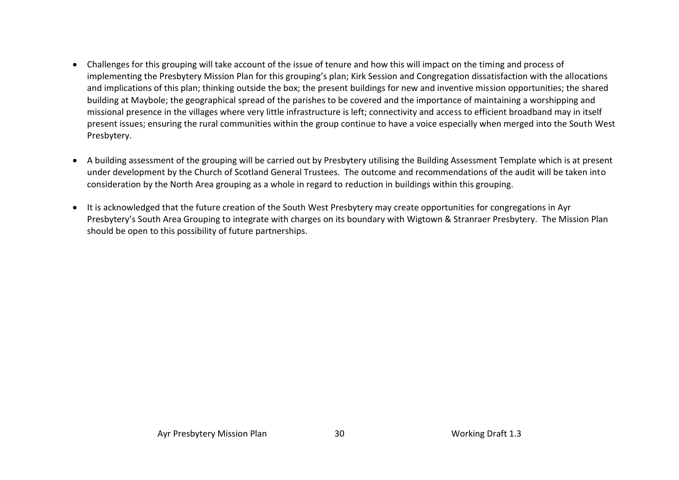- Challenges for this grouping will take account of the issue of tenure and how this will impact on the timing and process of implementing the Presbytery Mission Plan for this grouping's plan; Kirk Session and Congregation dissatisfaction with the allocations and implications of this plan; thinking outside the box; the present buildings for new and inventive mission opportunities; the shared building at Maybole; the geographical spread of the parishes to be covered and the importance of maintaining a worshipping and missional presence in the villages where very little infrastructure is left; connectivity and access to efficient broadband may in itself present issues; ensuring the rural communities within the group continue to have a voice especially when merged into the South West Presbytery.
- A building assessment of the grouping will be carried out by Presbytery utilising the Building Assessment Template which is at present under development by the Church of Scotland General Trustees. The outcome and recommendations of the audit will be taken into consideration by the North Area grouping as a whole in regard to reduction in buildings within this grouping.
- It is acknowledged that the future creation of the South West Presbytery may create opportunities for congregations in Ayr Presbytery's South Area Grouping to integrate with charges on its boundary with Wigtown & Stranraer Presbytery. The Mission Plan should be open to this possibility of future partnerships.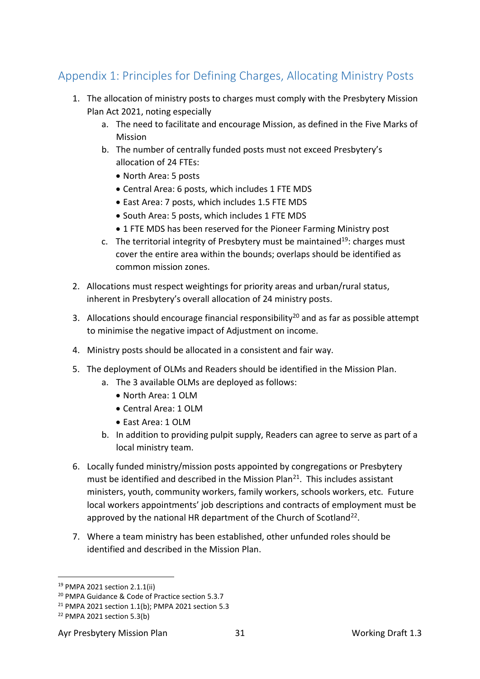# <span id="page-30-0"></span>Appendix 1: Principles for Defining Charges, Allocating Ministry Posts

- 1. The allocation of ministry posts to charges must comply with the Presbytery Mission Plan Act 2021, noting especially
	- a. The need to facilitate and encourage Mission, as defined in the Five Marks of Mission
	- b. The number of centrally funded posts must not exceed Presbytery's allocation of 24 FTEs:
		- North Area: 5 posts
		- Central Area: 6 posts, which includes 1 FTE MDS
		- East Area: 7 posts, which includes 1.5 FTE MDS
		- South Area: 5 posts, which includes 1 FTE MDS
		- 1 FTE MDS has been reserved for the Pioneer Farming Ministry post
	- c. The territorial integrity of Presbytery must be maintained<sup>19</sup>: charges must cover the entire area within the bounds; overlaps should be identified as common mission zones.
- 2. Allocations must respect weightings for priority areas and urban/rural status, inherent in Presbytery's overall allocation of 24 ministry posts.
- 3. Allocations should encourage financial responsibility<sup>20</sup> and as far as possible attempt to minimise the negative impact of Adjustment on income.
- 4. Ministry posts should be allocated in a consistent and fair way.
- 5. The deployment of OLMs and Readers should be identified in the Mission Plan.
	- a. The 3 available OLMs are deployed as follows:
		- North Area: 1 OLM
		- Central Area: 1 OLM
		- East Area: 1 OLM
	- b. In addition to providing pulpit supply, Readers can agree to serve as part of a local ministry team.
- 6. Locally funded ministry/mission posts appointed by congregations or Presbytery must be identified and described in the Mission Plan<sup>21</sup>. This includes assistant ministers, youth, community workers, family workers, schools workers, etc. Future local workers appointments' job descriptions and contracts of employment must be approved by the national HR department of the Church of Scotland<sup>22</sup>.
- 7. Where a team ministry has been established, other unfunded roles should be identified and described in the Mission Plan.

<sup>19</sup> PMPA 2021 section 2.1.1(ii)

<sup>20</sup> PMPA Guidance & Code of Practice section 5.3.7

<sup>21</sup> PMPA 2021 section 1.1(b); PMPA 2021 section 5.3

<sup>22</sup> PMPA 2021 section 5.3(b)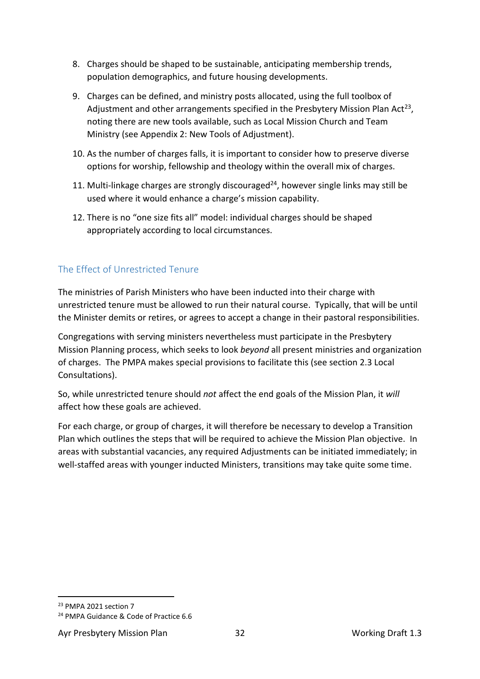- 8. Charges should be shaped to be sustainable, anticipating membership trends, population demographics, and future housing developments.
- 9. Charges can be defined, and ministry posts allocated, using the full toolbox of Adjustment and other arrangements specified in the Presbytery Mission Plan Act<sup>23</sup>, noting there are new tools available, such as Local Mission Church and Team Ministry (see Appendix 2: New Tools of Adjustment).
- 10. As the number of charges falls, it is important to consider how to preserve diverse options for worship, fellowship and theology within the overall mix of charges.
- 11. Multi-linkage charges are strongly discouraged $^{24}$ , however single links may still be used where it would enhance a charge's mission capability.
- 12. There is no "one size fits all" model: individual charges should be shaped appropriately according to local circumstances.

# <span id="page-31-0"></span>The Effect of Unrestricted Tenure

The ministries of Parish Ministers who have been inducted into their charge with unrestricted tenure must be allowed to run their natural course. Typically, that will be until the Minister demits or retires, or agrees to accept a change in their pastoral responsibilities.

Congregations with serving ministers nevertheless must participate in the Presbytery Mission Planning process, which seeks to look *beyond* all present ministries and organization of charges. The PMPA makes special provisions to facilitate this (see section 2.3 Local Consultations).

So, while unrestricted tenure should *not* affect the end goals of the Mission Plan, it *will* affect how these goals are achieved.

For each charge, or group of charges, it will therefore be necessary to develop a Transition Plan which outlines the steps that will be required to achieve the Mission Plan objective. In areas with substantial vacancies, any required Adjustments can be initiated immediately; in well-staffed areas with younger inducted Ministers, transitions may take quite some time.

<sup>&</sup>lt;sup>23</sup> PMPA 2021 section 7

<sup>24</sup> PMPA Guidance & Code of Practice 6.6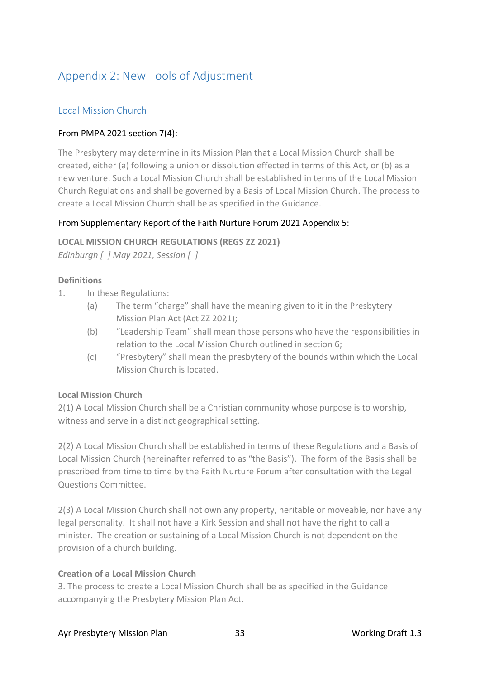# <span id="page-32-0"></span>Appendix 2: New Tools of Adjustment

## <span id="page-32-1"></span>Local Mission Church

## From PMPA 2021 section 7(4):

The Presbytery may determine in its Mission Plan that a Local Mission Church shall be created, either (a) following a union or dissolution effected in terms of this Act, or (b) as a new venture. Such a Local Mission Church shall be established in terms of the Local Mission Church Regulations and shall be governed by a Basis of Local Mission Church. The process to create a Local Mission Church shall be as specified in the Guidance.

### From Supplementary Report of the Faith Nurture Forum 2021 Appendix 5:

**LOCAL MISSION CHURCH REGULATIONS (REGS ZZ 2021)** *Edinburgh [ ] May 2021, Session [ ]*

#### **Definitions**

- 1. In these Regulations:
	- (a) The term "charge" shall have the meaning given to it in the Presbytery Mission Plan Act (Act ZZ 2021);
	- (b) "Leadership Team" shall mean those persons who have the responsibilities in relation to the Local Mission Church outlined in section 6;
	- (c) "Presbytery" shall mean the presbytery of the bounds within which the Local Mission Church is located.

#### **Local Mission Church**

2(1) A Local Mission Church shall be a Christian community whose purpose is to worship, witness and serve in a distinct geographical setting.

2(2) A Local Mission Church shall be established in terms of these Regulations and a Basis of Local Mission Church (hereinafter referred to as "the Basis"). The form of the Basis shall be prescribed from time to time by the Faith Nurture Forum after consultation with the Legal Questions Committee.

2(3) A Local Mission Church shall not own any property, heritable or moveable, nor have any legal personality. It shall not have a Kirk Session and shall not have the right to call a minister. The creation or sustaining of a Local Mission Church is not dependent on the provision of a church building.

#### **Creation of a Local Mission Church**

3. The process to create a Local Mission Church shall be as specified in the Guidance accompanying the Presbytery Mission Plan Act.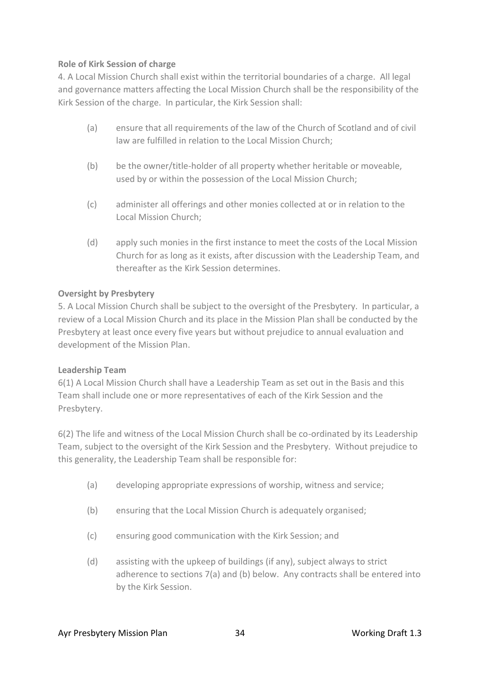#### **Role of Kirk Session of charge**

4. A Local Mission Church shall exist within the territorial boundaries of a charge. All legal and governance matters affecting the Local Mission Church shall be the responsibility of the Kirk Session of the charge. In particular, the Kirk Session shall:

- (a) ensure that all requirements of the law of the Church of Scotland and of civil law are fulfilled in relation to the Local Mission Church;
- (b) be the owner/title-holder of all property whether heritable or moveable, used by or within the possession of the Local Mission Church;
- (c) administer all offerings and other monies collected at or in relation to the Local Mission Church;
- (d) apply such monies in the first instance to meet the costs of the Local Mission Church for as long as it exists, after discussion with the Leadership Team, and thereafter as the Kirk Session determines.

### **Oversight by Presbytery**

5. A Local Mission Church shall be subject to the oversight of the Presbytery. In particular, a review of a Local Mission Church and its place in the Mission Plan shall be conducted by the Presbytery at least once every five years but without prejudice to annual evaluation and development of the Mission Plan.

#### **Leadership Team**

6(1) A Local Mission Church shall have a Leadership Team as set out in the Basis and this Team shall include one or more representatives of each of the Kirk Session and the Presbytery.

6(2) The life and witness of the Local Mission Church shall be co-ordinated by its Leadership Team, subject to the oversight of the Kirk Session and the Presbytery. Without prejudice to this generality, the Leadership Team shall be responsible for:

- (a) developing appropriate expressions of worship, witness and service;
- (b) ensuring that the Local Mission Church is adequately organised;
- (c) ensuring good communication with the Kirk Session; and
- (d) assisting with the upkeep of buildings (if any), subject always to strict adherence to sections 7(a) and (b) below. Any contracts shall be entered into by the Kirk Session.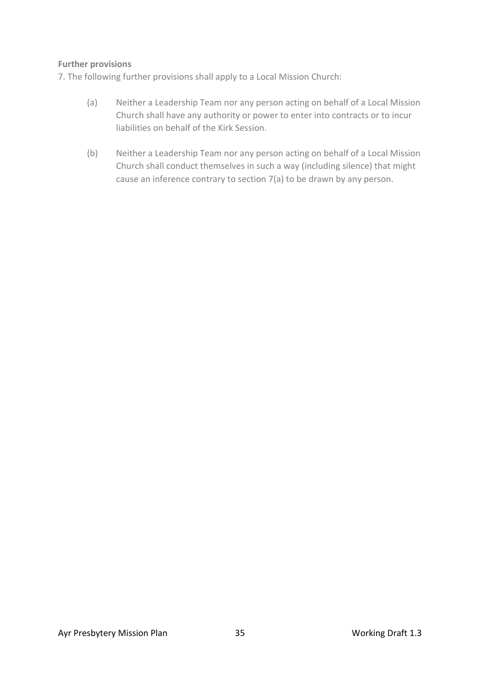#### **Further provisions**

7. The following further provisions shall apply to a Local Mission Church:

- (a) Neither a Leadership Team nor any person acting on behalf of a Local Mission Church shall have any authority or power to enter into contracts or to incur liabilities on behalf of the Kirk Session.
- (b) Neither a Leadership Team nor any person acting on behalf of a Local Mission Church shall conduct themselves in such a way (including silence) that might cause an inference contrary to section 7(a) to be drawn by any person.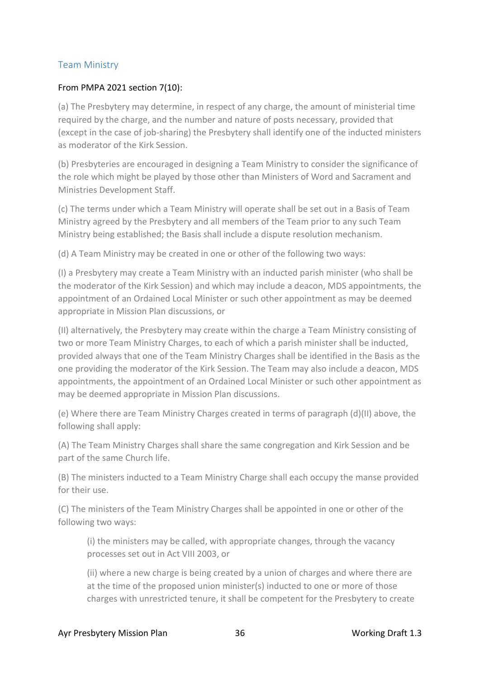## <span id="page-35-0"></span>Team Ministry

#### From PMPA 2021 section 7(10):

(a) The Presbytery may determine, in respect of any charge, the amount of ministerial time required by the charge, and the number and nature of posts necessary, provided that (except in the case of job-sharing) the Presbytery shall identify one of the inducted ministers as moderator of the Kirk Session.

(b) Presbyteries are encouraged in designing a Team Ministry to consider the significance of the role which might be played by those other than Ministers of Word and Sacrament and Ministries Development Staff.

(c) The terms under which a Team Ministry will operate shall be set out in a Basis of Team Ministry agreed by the Presbytery and all members of the Team prior to any such Team Ministry being established; the Basis shall include a dispute resolution mechanism.

(d) A Team Ministry may be created in one or other of the following two ways:

(I) a Presbytery may create a Team Ministry with an inducted parish minister (who shall be the moderator of the Kirk Session) and which may include a deacon, MDS appointments, the appointment of an Ordained Local Minister or such other appointment as may be deemed appropriate in Mission Plan discussions, or

(II) alternatively, the Presbytery may create within the charge a Team Ministry consisting of two or more Team Ministry Charges, to each of which a parish minister shall be inducted, provided always that one of the Team Ministry Charges shall be identified in the Basis as the one providing the moderator of the Kirk Session. The Team may also include a deacon, MDS appointments, the appointment of an Ordained Local Minister or such other appointment as may be deemed appropriate in Mission Plan discussions.

(e) Where there are Team Ministry Charges created in terms of paragraph (d)(II) above, the following shall apply:

(A) The Team Ministry Charges shall share the same congregation and Kirk Session and be part of the same Church life.

(B) The ministers inducted to a Team Ministry Charge shall each occupy the manse provided for their use.

(C) The ministers of the Team Ministry Charges shall be appointed in one or other of the following two ways:

(i) the ministers may be called, with appropriate changes, through the vacancy processes set out in Act VIII 2003, or

(ii) where a new charge is being created by a union of charges and where there are at the time of the proposed union minister(s) inducted to one or more of those charges with unrestricted tenure, it shall be competent for the Presbytery to create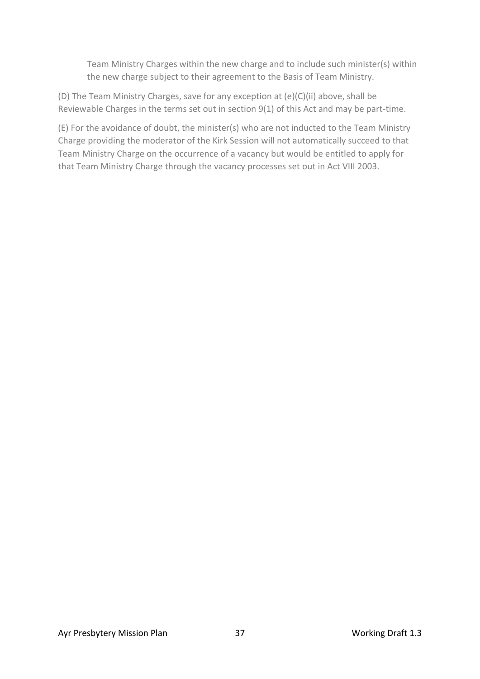Team Ministry Charges within the new charge and to include such minister(s) within the new charge subject to their agreement to the Basis of Team Ministry.

(D) The Team Ministry Charges, save for any exception at (e)(C)(ii) above, shall be Reviewable Charges in the terms set out in section 9(1) of this Act and may be part-time.

(E) For the avoidance of doubt, the minister(s) who are not inducted to the Team Ministry Charge providing the moderator of the Kirk Session will not automatically succeed to that Team Ministry Charge on the occurrence of a vacancy but would be entitled to apply for that Team Ministry Charge through the vacancy processes set out in Act VIII 2003.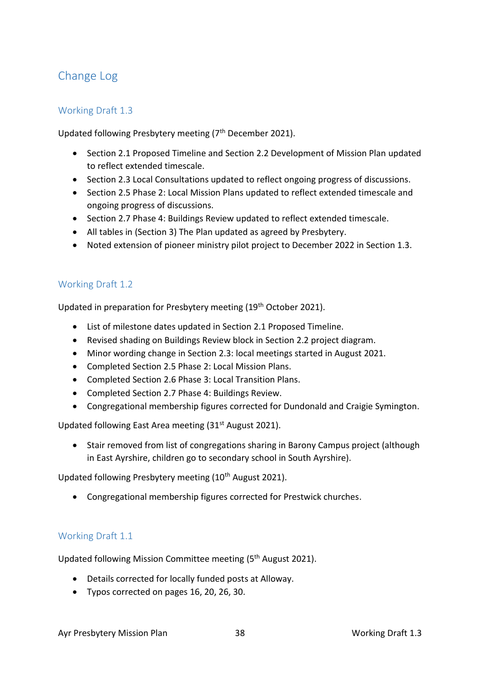# <span id="page-37-0"></span>Change Log

### <span id="page-37-1"></span>Working Draft 1.3

Updated following Presbytery meeting (7<sup>th</sup> December 2021).

- Section 2.1 Proposed Timeline and Section 2.2 Development of Mission Plan updated to reflect extended timescale.
- Section 2.3 Local Consultations updated to reflect ongoing progress of discussions.
- Section 2.5 Phase 2: Local Mission Plans updated to reflect extended timescale and ongoing progress of discussions.
- Section 2.7 Phase 4: Buildings Review updated to reflect extended timescale.
- All tables in (Section 3) The Plan updated as agreed by Presbytery.
- Noted extension of pioneer ministry pilot project to December 2022 in Section 1.3.

### <span id="page-37-2"></span>Working Draft 1.2

Updated in preparation for Presbytery meeting (19th October 2021).

- List of milestone dates updated in Section 2.1 Proposed Timeline.
- Revised shading on Buildings Review block in Section 2.2 project diagram.
- Minor wording change in Section 2.3: local meetings started in August 2021.
- Completed Section 2.5 Phase 2: Local Mission Plans.
- Completed Section 2.6 Phase 3: Local Transition Plans.
- Completed Section 2.7 Phase 4: Buildings Review.
- Congregational membership figures corrected for Dundonald and Craigie Symington.

Updated following East Area meeting (31st August 2021).

• Stair removed from list of congregations sharing in Barony Campus project (although in East Ayrshire, children go to secondary school in South Ayrshire).

Updated following Presbytery meeting (10<sup>th</sup> August 2021).

• Congregational membership figures corrected for Prestwick churches.

#### <span id="page-37-3"></span>Working Draft 1.1

Updated following Mission Committee meeting (5<sup>th</sup> August 2021).

- Details corrected for locally funded posts at Alloway.
- Typos corrected on pages 16, 20, 26, 30.